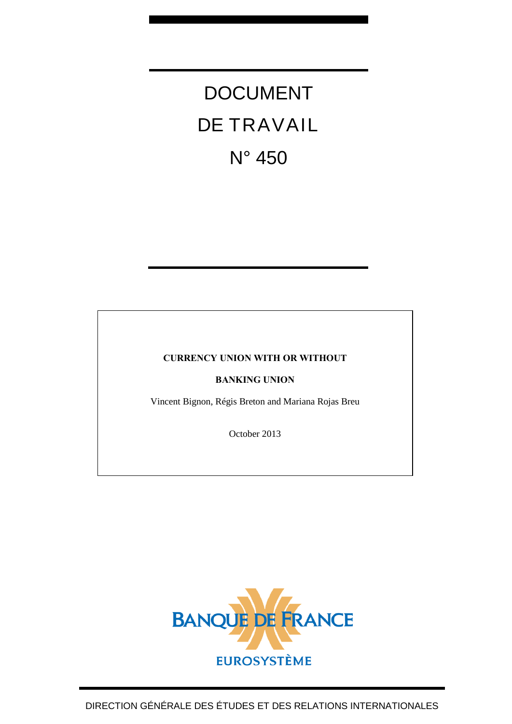# DOCUMENT DE TRAVAIL N° 450

# **CURRENCY UNION WITH OR WITHOUT**

**BANKING UNION**

Vincent Bignon, Régis Breton and Mariana Rojas Breu

October 2013

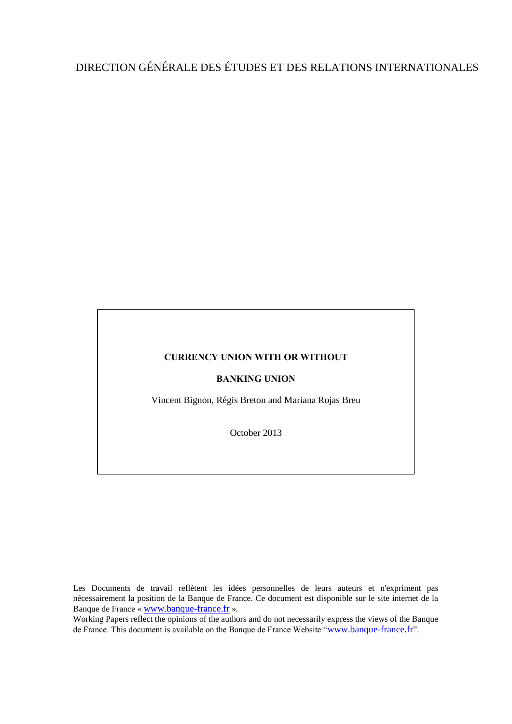# DIRECTION GÉNÉRALE DES ÉTUDES ET DES RELATIONS INTERNATIONALES

# **CURRENCY UNION WITH OR WITHOUT**

# **BANKING UNION**

Vincent Bignon, Régis Breton and Mariana Rojas Breu

October 2013

Les Documents de travail reflètent les idées personnelles de leurs auteurs et n'expriment pas nécessairement la position de la Banque de France. Ce document est disponible sur le site internet de la Banque de France « [www.banque-france.fr](http://www.banque-france.fr/) ».

Working Papers reflect the opinions of the authors and do not necessarily express the views of the Banque de France. This document is available on the Banque de France Website "[www.banque-france.fr](http://www.banque-france.fr/)".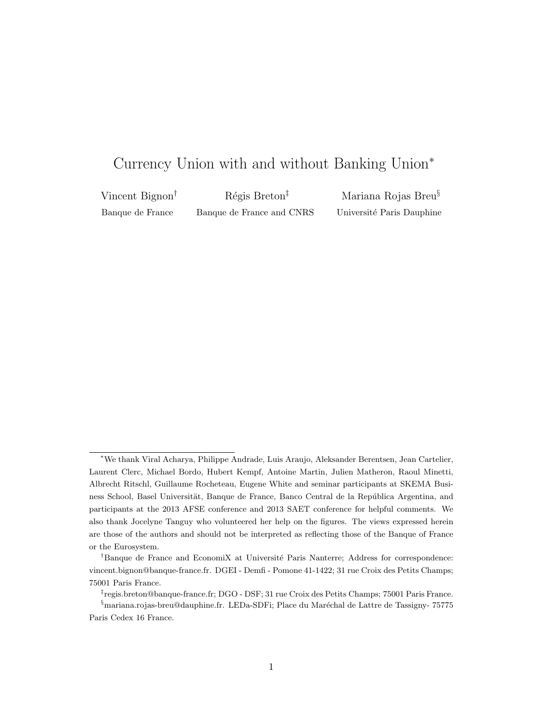# Currency Union with and without Banking Union<sup>∗</sup>

Vincent Bignon† Banque de France

 $Régis Breton<sup>‡</sup>$ Banque de France and CNRS

Mariana Rojas Breu§ Université Paris Dauphine

<sup>∗</sup>We thank Viral Acharya, Philippe Andrade, Luis Araujo, Aleksander Berentsen, Jean Cartelier, Laurent Clerc, Michael Bordo, Hubert Kempf, Antoine Martin, Julien Matheron, Raoul Minetti, Albrecht Ritschl, Guillaume Rocheteau, Eugene White and seminar participants at SKEMA Business School, Basel Universität, Banque de France, Banco Central de la República Argentina, and participants at the 2013 AFSE conference and 2013 SAET conference for helpful comments. We also thank Jocelyne Tanguy who volunteered her help on the figures. The views expressed herein are those of the authors and should not be interpreted as reflecting those of the Banque of France or the Eurosystem.

<sup>&</sup>lt;sup>†</sup>Banque de France and EconomiX at Université Paris Nanterre; Address for correspondence: vincent.bignon@banque-france.fr. DGEI - Demfi - Pomone 41-1422; 31 rue Croix des Petits Champs; 75001 Paris France.

<sup>‡</sup> regis.breton@banque-france.fr; DGO - DSF; 31 rue Croix des Petits Champs; 75001 Paris France.

<sup>§</sup>mariana.rojas-breu@dauphine.fr. LEDa-SDFi; Place du Maréchal de Lattre de Tassigny- 75775 Paris Cedex 16 France.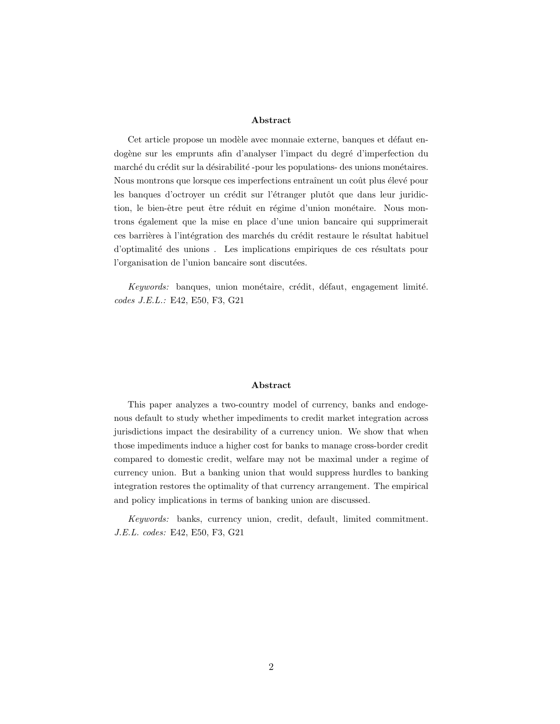#### Abstract

Cet article propose un modèle avec monnaie externe, banques et défaut endogène sur les emprunts afin d'analyser l'impact du degré d'imperfection du marché du crédit sur la désirabilité -pour les populations- des unions monétaires. Nous montrons que lorsque ces imperfections entraînent un coût plus élevé pour les banques d'octroyer un crédit sur l'étranger plutôt que dans leur juridiction, le bien-être peut être réduit en régime d'union monétaire. Nous montrons également que la mise en place d'une union bancaire qui supprimerait ces barrières à l'intégration des marchés du crédit restaure le résultat habituel d'optimalité des unions. Les implications empiriques de ces résultats pour l'organisation de l'union bancaire sont discutées.

Keywords: banques, union monétaire, crédit, défaut, engagement limité. codes J.E.L.: E42, E50, F3, G21

#### Abstract

This paper analyzes a two-country model of currency, banks and endogenous default to study whether impediments to credit market integration across jurisdictions impact the desirability of a currency union. We show that when those impediments induce a higher cost for banks to manage cross-border credit compared to domestic credit, welfare may not be maximal under a regime of currency union. But a banking union that would suppress hurdles to banking integration restores the optimality of that currency arrangement. The empirical and policy implications in terms of banking union are discussed.

Keywords: banks, currency union, credit, default, limited commitment. J.E.L. codes: E42, E50, F3, G21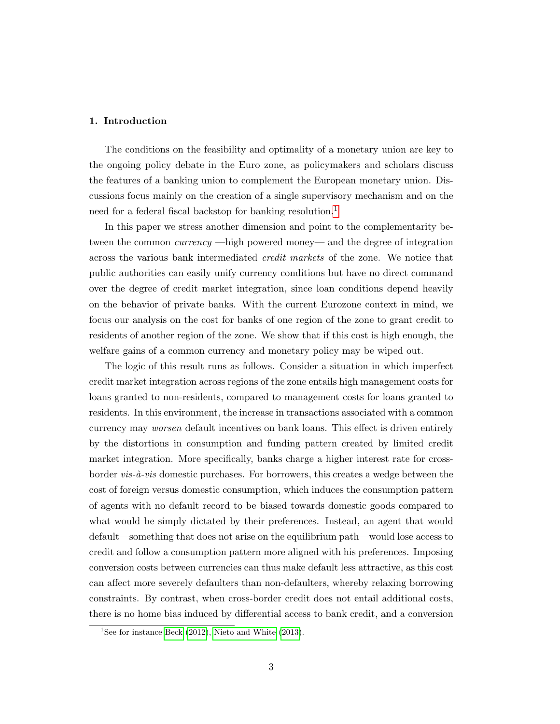# 1. Introduction

The conditions on the feasibility and optimality of a monetary union are key to the ongoing policy debate in the Euro zone, as policymakers and scholars discuss the features of a banking union to complement the European monetary union. Discussions focus mainly on the creation of a single supervisory mechanism and on the need for a federal fiscal backstop for banking resolution.<sup>[1](#page-4-0)</sup>

In this paper we stress another dimension and point to the complementarity between the common *currency* —high powered money— and the degree of integration across the various bank intermediated credit markets of the zone. We notice that public authorities can easily unify currency conditions but have no direct command over the degree of credit market integration, since loan conditions depend heavily on the behavior of private banks. With the current Eurozone context in mind, we focus our analysis on the cost for banks of one region of the zone to grant credit to residents of another region of the zone. We show that if this cost is high enough, the welfare gains of a common currency and monetary policy may be wiped out.

The logic of this result runs as follows. Consider a situation in which imperfect credit market integration across regions of the zone entails high management costs for loans granted to non-residents, compared to management costs for loans granted to residents. In this environment, the increase in transactions associated with a common currency may worsen default incentives on bank loans. This effect is driven entirely by the distortions in consumption and funding pattern created by limited credit market integration. More specifically, banks charge a higher interest rate for crossborder  $vis-\hat{a}-vis$  domestic purchases. For borrowers, this creates a wedge between the cost of foreign versus domestic consumption, which induces the consumption pattern of agents with no default record to be biased towards domestic goods compared to what would be simply dictated by their preferences. Instead, an agent that would default—something that does not arise on the equilibrium path—would lose access to credit and follow a consumption pattern more aligned with his preferences. Imposing conversion costs between currencies can thus make default less attractive, as this cost can affect more severely defaulters than non-defaulters, whereby relaxing borrowing constraints. By contrast, when cross-border credit does not entail additional costs, there is no home bias induced by differential access to bank credit, and a conversion

<span id="page-4-0"></span><sup>&</sup>lt;sup>1</sup>See for instance [Beck](#page-38-0)  $(2012)$ , [Nieto and White](#page-41-0)  $(2013)$ .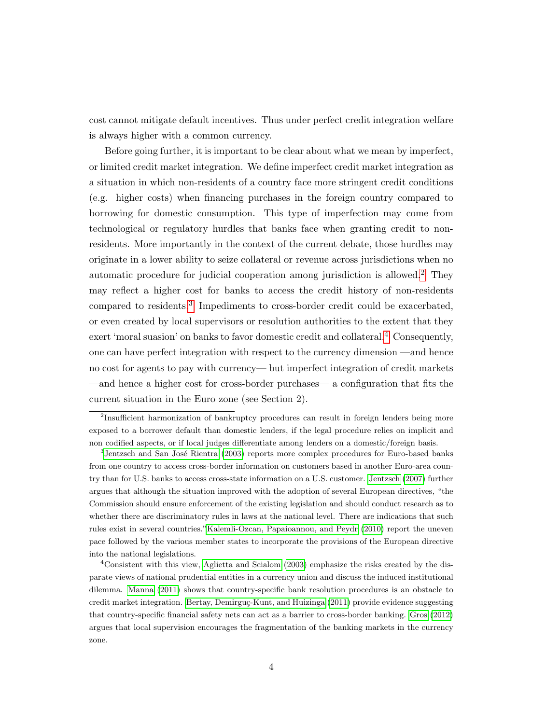cost cannot mitigate default incentives. Thus under perfect credit integration welfare is always higher with a common currency.

Before going further, it is important to be clear about what we mean by imperfect, or limited credit market integration. We define imperfect credit market integration as a situation in which non-residents of a country face more stringent credit conditions (e.g. higher costs) when financing purchases in the foreign country compared to borrowing for domestic consumption. This type of imperfection may come from technological or regulatory hurdles that banks face when granting credit to nonresidents. More importantly in the context of the current debate, those hurdles may originate in a lower ability to seize collateral or revenue across jurisdictions when no automatic procedure for judicial cooperation among jurisdiction is allowed.<sup>[2](#page-5-0)</sup> They may reflect a higher cost for banks to access the credit history of non-residents compared to residents.[3](#page-5-1) Impediments to cross-border credit could be exacerbated, or even created by local supervisors or resolution authorities to the extent that they exert 'moral suasion' on banks to favor domestic credit and collateral.<sup>[4](#page-5-2)</sup> Consequently, one can have perfect integration with respect to the currency dimension —and hence no cost for agents to pay with currency— but imperfect integration of credit markets —and hence a higher cost for cross-border purchases— a configuration that fits the current situation in the Euro zone (see Section 2).

<span id="page-5-0"></span><sup>&</sup>lt;sup>2</sup>Insufficient harmonization of bankruptcy procedures can result in foreign lenders being more exposed to a borrower default than domestic lenders, if the legal procedure relies on implicit and non codified aspects, or if local judges differentiate among lenders on a domestic/foreign basis.

<span id="page-5-1"></span><sup>&</sup>lt;sup>3</sup> Jentzsch and San José Rientra [\(2003\)](#page-40-0) reports more complex procedures for Euro-based banks from one country to access cross-border information on customers based in another Euro-area country than for U.S. banks to access cross-state information on a U.S. customer. [Jentzsch](#page-40-1) [\(2007\)](#page-40-1) further argues that although the situation improved with the adoption of several European directives, "the Commission should ensure enforcement of the existing legislation and should conduct research as to whether there are discriminatory rules in laws at the national level. There are indications that such rules exist in several countries.["Kalemli-Ozcan, Papaioannou, and Peydr](#page-40-2) [\(2010\)](#page-40-2) report the uneven pace followed by the various member states to incorporate the provisions of the European directive into the national legislations.

<span id="page-5-2"></span><sup>4</sup>Consistent with this view, [Aglietta and Scialom](#page-38-1) [\(2003\)](#page-38-1) emphasize the risks created by the disparate views of national prudential entities in a currency union and discuss the induced institutional dilemma. [Manna](#page-40-3) [\(2011\)](#page-40-3) shows that country-specific bank resolution procedures is an obstacle to credit market integration. Bertay, Demirguç-Kunt, and Huizinga [\(2011\)](#page-38-2) provide evidence suggesting that country-specific financial safety nets can act as a barrier to cross-border banking. [Gros](#page-39-0) [\(2012\)](#page-39-0) argues that local supervision encourages the fragmentation of the banking markets in the currency zone.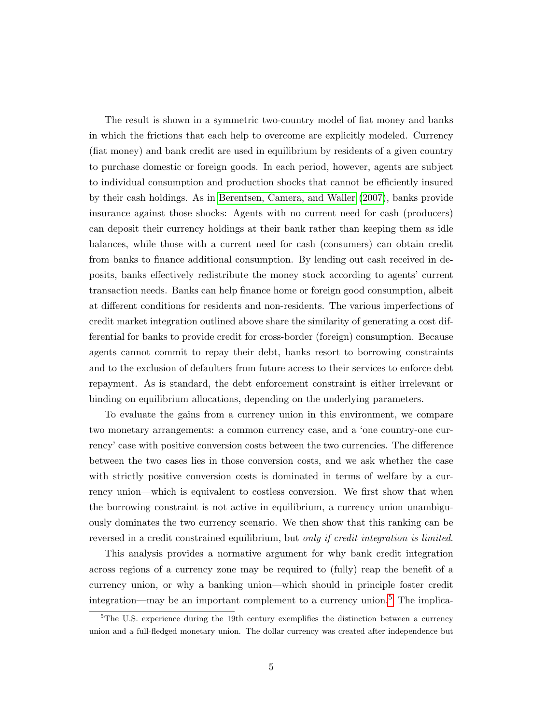The result is shown in a symmetric two-country model of fiat money and banks in which the frictions that each help to overcome are explicitly modeled. Currency (fiat money) and bank credit are used in equilibrium by residents of a given country to purchase domestic or foreign goods. In each period, however, agents are subject to individual consumption and production shocks that cannot be efficiently insured by their cash holdings. As in [Berentsen, Camera, and Waller](#page-38-3) [\(2007\)](#page-38-3), banks provide insurance against those shocks: Agents with no current need for cash (producers) can deposit their currency holdings at their bank rather than keeping them as idle balances, while those with a current need for cash (consumers) can obtain credit from banks to finance additional consumption. By lending out cash received in deposits, banks effectively redistribute the money stock according to agents' current transaction needs. Banks can help finance home or foreign good consumption, albeit at different conditions for residents and non-residents. The various imperfections of credit market integration outlined above share the similarity of generating a cost differential for banks to provide credit for cross-border (foreign) consumption. Because agents cannot commit to repay their debt, banks resort to borrowing constraints and to the exclusion of defaulters from future access to their services to enforce debt repayment. As is standard, the debt enforcement constraint is either irrelevant or binding on equilibrium allocations, depending on the underlying parameters.

To evaluate the gains from a currency union in this environment, we compare two monetary arrangements: a common currency case, and a 'one country-one currency' case with positive conversion costs between the two currencies. The difference between the two cases lies in those conversion costs, and we ask whether the case with strictly positive conversion costs is dominated in terms of welfare by a currency union—which is equivalent to costless conversion. We first show that when the borrowing constraint is not active in equilibrium, a currency union unambiguously dominates the two currency scenario. We then show that this ranking can be reversed in a credit constrained equilibrium, but only if credit integration is limited.

This analysis provides a normative argument for why bank credit integration across regions of a currency zone may be required to (fully) reap the benefit of a currency union, or why a banking union—which should in principle foster credit integration—may be an important complement to a currency union.<sup>[5](#page-6-0)</sup> The implica-

<span id="page-6-0"></span> $5$ The U.S. experience during the 19th century exemplifies the distinction between a currency union and a full-fledged monetary union. The dollar currency was created after independence but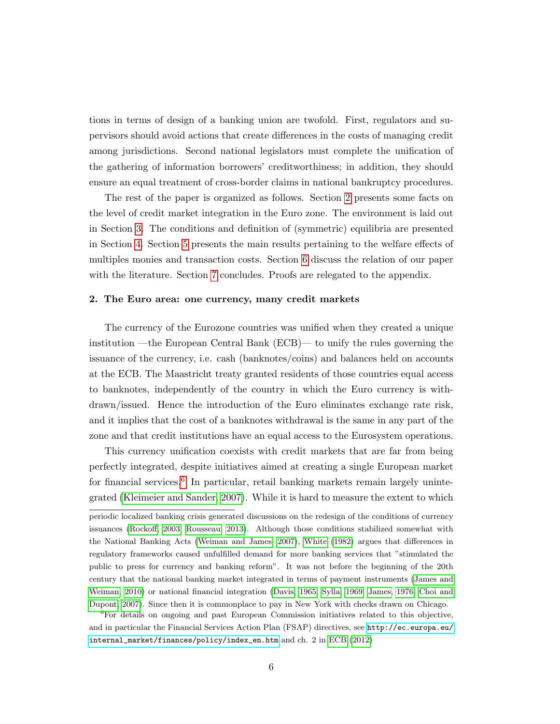tions in terms of design of a banking union are twofold. First, regulators and supervisors should avoid actions that create differences in the costs of managing credit among jurisdictions. Second national legislators must complete the unification of the gathering of information borrowers' creditworthiness; in addition, they should ensure an equal treatment of cross-border claims in national bankruptcy procedures.

The rest of the paper is organized as follows. Section [2](#page-7-0) presents some facts on the level of credit market integration in the Euro zone. The environment is laid out in Section [3.](#page-9-0) The conditions and definition of (symmetric) equilibria are presented in Section [4.](#page-12-0) Section [5](#page-19-0) presents the main results pertaining to the welfare effects of multiples monies and transaction costs. Section [6](#page-22-0) discuss the relation of our paper with the literature. Section [7](#page-23-0) concludes. Proofs are relegated to the appendix.

#### <span id="page-7-0"></span>2. The Euro area: one currency, many credit markets

The currency of the Eurozone countries was unified when they created a unique institution —the European Central Bank (ECB)— to unify the rules governing the issuance of the currency, i.e. cash (banknotes/coins) and balances held on accounts at the ECB. The Maastricht treaty granted residents of those countries equal access to banknotes, independently of the country in which the Euro currency is withdrawn/issued. Hence the introduction of the Euro eliminates exchange rate risk, and it implies that the cost of a banknotes withdrawal is the same in any part of the zone and that credit institutions have an equal access to the Eurosystem operations.

This currency unification coexists with credit markets that are far from being perfectly integrated, despite initiatives aimed at creating a single European market for financial services.<sup>[6](#page-7-1)</sup> In particular, retail banking markets remain largely unintegrated [\(Kleimeier and Sander, 2007\)](#page-40-4). While it is hard to measure the extent to which

<span id="page-7-1"></span><sup>6</sup>For details on ongoing and past European Commission initiatives related to this objective, and in particular the Financial Services Action Plan (FSAP) directives, see [http://ec.europa.eu/](http://ec.europa.eu/internal_market/finances/policy/index_en.htm) [internal\\_market/finances/policy/index\\_en.htm](http://ec.europa.eu/internal_market/finances/policy/index_en.htm) and ch. 2 in [ECB](#page-39-2) [\(2012\)](#page-39-2)

periodic localized banking crisis generated discussions on the redesign of the conditions of currency issuances [\(Rockoff, 2003,](#page-41-1) [Rousseau, 2013\)](#page-41-2). Although those conditions stabilized somewhat with the National Banking Acts [\(Weiman and James, 2007\)](#page-41-3), [White](#page-42-0) [\(1982\)](#page-42-0) argues that differences in regulatory frameworks caused unfulfilled demand for more banking services that "stimulated the public to press for currency and banking reform". It was not before the beginning of the 20th century that the national banking market integrated in terms of payment instruments [\(James and](#page-40-5) [Weiman, 2010\)](#page-40-5) or national financial integration [\(Davis, 1965,](#page-39-1) [Sylla, 1969,](#page-41-4) [James, 1976,](#page-40-6) [Choi and](#page-38-4) [Dupont, 2007\)](#page-38-4). Since then it is commonplace to pay in New York with checks drawn on Chicago.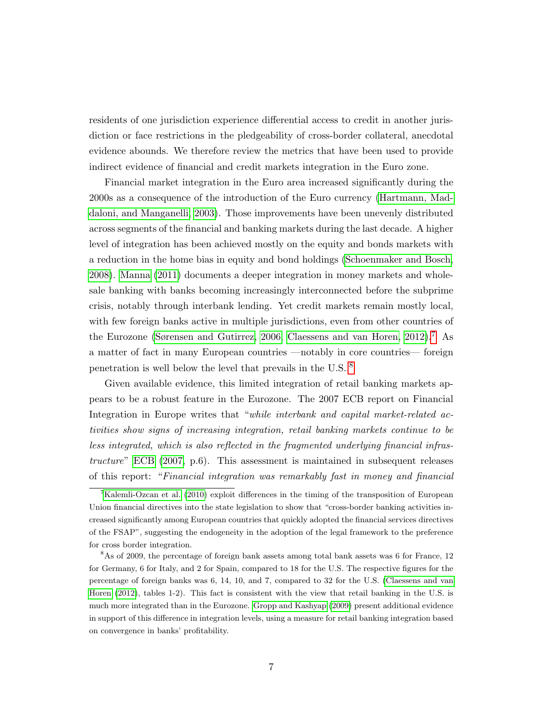residents of one jurisdiction experience differential access to credit in another jurisdiction or face restrictions in the pledgeability of cross-border collateral, anecdotal evidence abounds. We therefore review the metrics that have been used to provide indirect evidence of financial and credit markets integration in the Euro zone.

Financial market integration in the Euro area increased significantly during the 2000s as a consequence of the introduction of the Euro currency [\(Hartmann, Mad](#page-39-3)[daloni, and Manganelli, 2003\)](#page-39-3). Those improvements have been unevenly distributed across segments of the financial and banking markets during the last decade. A higher level of integration has been achieved mostly on the equity and bonds markets with a reduction in the home bias in equity and bond holdings [\(Schoenmaker and Bosch,](#page-41-5) [2008\)](#page-41-5). [Manna](#page-40-3) [\(2011\)](#page-40-3) documents a deeper integration in money markets and wholesale banking with banks becoming increasingly interconnected before the subprime crisis, notably through interbank lending. Yet credit markets remain mostly local, with few foreign banks active in multiple jurisdictions, even from other countries of the Eurozone [\(Sørensen and Gutirrez, 2006,](#page-41-6) [Claessens and van Horen, 2012\)](#page-38-5).[7](#page-8-0) As a matter of fact in many European countries —notably in core countries— foreign penetration is well below the level that prevails in the U.S..[8](#page-8-1)

Given available evidence, this limited integration of retail banking markets appears to be a robust feature in the Eurozone. The 2007 ECB report on Financial Integration in Europe writes that "while interbank and capital market-related activities show signs of increasing integration, retail banking markets continue to be less integrated, which is also reflected in the fragmented underlying financial infrastructure" [ECB](#page-39-4) [\(2007,](#page-39-4) p.6). This assessment is maintained in subsequent releases of this report: "Financial integration was remarkably fast in money and financial

<span id="page-8-0"></span><sup>&</sup>lt;sup>7</sup>[Kalemli-Ozcan et al.](#page-40-2) [\(2010\)](#page-40-2) exploit differences in the timing of the transposition of European Union financial directives into the state legislation to show that "cross-border banking activities increased significantly among European countries that quickly adopted the financial services directives of the FSAP", suggesting the endogeneity in the adoption of the legal framework to the preference for cross border integration.

<span id="page-8-1"></span><sup>8</sup>As of 2009, the percentage of foreign bank assets among total bank assets was 6 for France, 12 for Germany, 6 for Italy, and 2 for Spain, compared to 18 for the U.S. The respective figures for the percentage of foreign banks was 6, 14, 10, and 7, compared to 32 for the U.S. [\(Claessens and van](#page-38-5) [Horen](#page-38-5) [\(2012\)](#page-38-5), tables 1-2). This fact is consistent with the view that retail banking in the U.S. is much more integrated than in the Eurozone. [Gropp and Kashyap](#page-39-5) [\(2009\)](#page-39-5) present additional evidence in support of this difference in integration levels, using a measure for retail banking integration based on convergence in banks' profitability.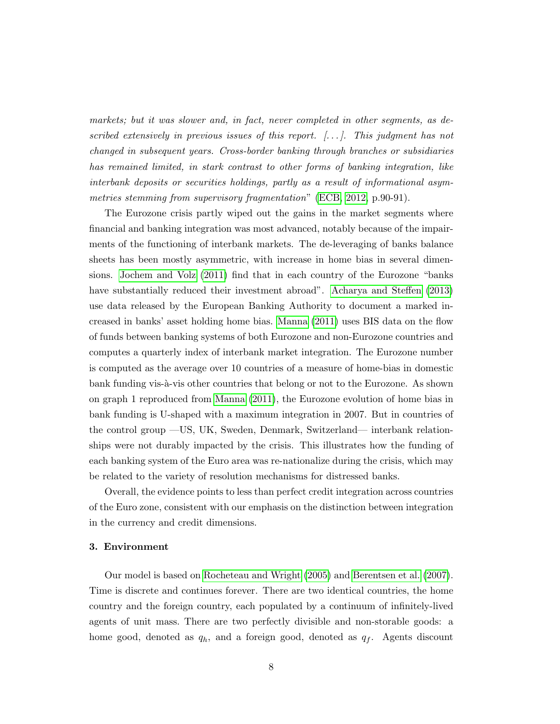markets; but it was slower and, in fact, never completed in other segments, as described extensively in previous issues of this report.  $[\ldots]$ . This judgment has not changed in subsequent years. Cross-border banking through branches or subsidiaries has remained limited, in stark contrast to other forms of banking integration, like interbank deposits or securities holdings, partly as a result of informational asymmetries stemming from supervisory fragmentation" [\(ECB, 2012,](#page-39-2) p.90-91).

The Eurozone crisis partly wiped out the gains in the market segments where financial and banking integration was most advanced, notably because of the impairments of the functioning of interbank markets. The de-leveraging of banks balance sheets has been mostly asymmetric, with increase in home bias in several dimensions. [Jochem and Volz](#page-40-7) [\(2011\)](#page-40-7) find that in each country of the Eurozone "banks have substantially reduced their investment abroad". [Acharya and Steffen](#page-38-6) [\(2013\)](#page-38-6) use data released by the European Banking Authority to document a marked increased in banks' asset holding home bias. [Manna](#page-40-3) [\(2011\)](#page-40-3) uses BIS data on the flow of funds between banking systems of both Eurozone and non-Eurozone countries and computes a quarterly index of interbank market integration. The Eurozone number is computed as the average over 10 countries of a measure of home-bias in domestic bank funding vis- $\lambda$ -vis other countries that belong or not to the Eurozone. As shown on graph 1 reproduced from [Manna](#page-40-3) [\(2011\)](#page-40-3), the Eurozone evolution of home bias in bank funding is U-shaped with a maximum integration in 2007. But in countries of the control group —US, UK, Sweden, Denmark, Switzerland— interbank relationships were not durably impacted by the crisis. This illustrates how the funding of each banking system of the Euro area was re-nationalize during the crisis, which may be related to the variety of resolution mechanisms for distressed banks.

Overall, the evidence points to less than perfect credit integration across countries of the Euro zone, consistent with our emphasis on the distinction between integration in the currency and credit dimensions.

#### <span id="page-9-0"></span>3. Environment

Our model is based on [Rocheteau and Wright](#page-41-7) [\(2005\)](#page-41-7) and [Berentsen et al.](#page-38-3) [\(2007\)](#page-38-3). Time is discrete and continues forever. There are two identical countries, the home country and the foreign country, each populated by a continuum of infinitely-lived agents of unit mass. There are two perfectly divisible and non-storable goods: a home good, denoted as  $q_h$ , and a foreign good, denoted as  $q_f$ . Agents discount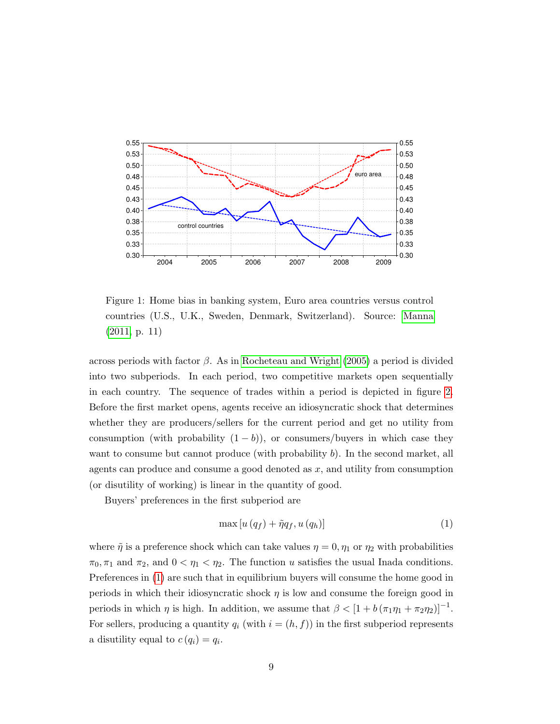

Figure 1: Home bias in banking system, Euro area countries versus control countries (U.S., U.K., Sweden, Denmark, Switzerland). Source: [Manna](#page-40-3) [\(2011,](#page-40-3) p. 11)

across periods with factor  $\beta$ . As in [Rocheteau and Wright](#page-41-7) [\(2005\)](#page-41-7) a period is divided into two subperiods. In each period, two competitive markets open sequentially in each country. The sequence of trades within a period is depicted in figure [2.](#page-13-0) Before the first market opens, agents receive an idiosyncratic shock that determines whether they are producers/sellers for the current period and get no utility from consumption (with probability  $(1 - b)$ ), or consumers/buyers in which case they want to consume but cannot produce (with probability  $b$ ). In the second market, all agents can produce and consume a good denoted as  $x$ , and utility from consumption (or disutility of working) is linear in the quantity of good.

Buyers' preferences in the first subperiod are

<span id="page-10-0"></span>
$$
\max\left[u\left(q_{f}\right)+\tilde{\eta}q_{f},u\left(q_{h}\right)\right]
$$
\n<sup>(1)</sup>

where  $\tilde{\eta}$  is a preference shock which can take values  $\eta = 0, \eta_1$  or  $\eta_2$  with probabilities  $\pi_0, \pi_1$  and  $\pi_2$ , and  $0 < \eta_1 < \eta_2$ . The function u satisfies the usual Inada conditions. Preferences in [\(1\)](#page-10-0) are such that in equilibrium buyers will consume the home good in periods in which their idiosyncratic shock  $\eta$  is low and consume the foreign good in periods in which  $\eta$  is high. In addition, we assume that  $\beta < [1 + b(\pi_1\eta_1 + \pi_2\eta_2)]^{-1}$ . For sellers, producing a quantity  $q_i$  (with  $i = (h, f)$ ) in the first subperiod represents a disutility equal to  $c(q_i) = q_i$ .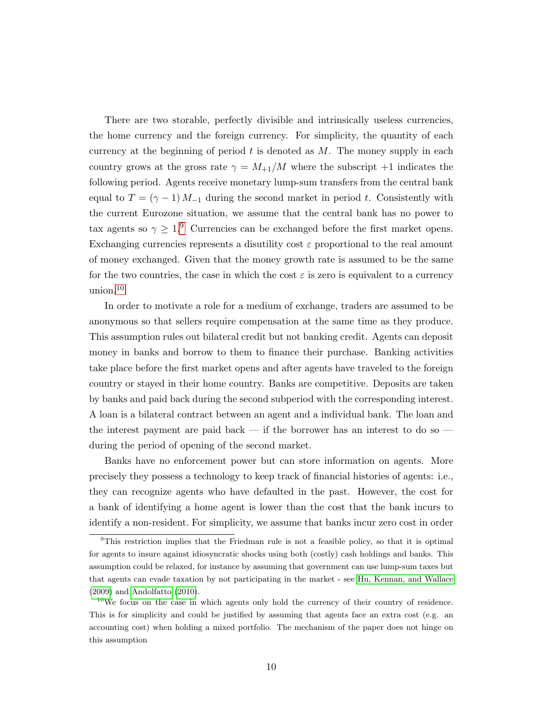There are two storable, perfectly divisible and intrinsically useless currencies, the home currency and the foreign currency. For simplicity, the quantity of each currency at the beginning of period  $t$  is denoted as  $M$ . The money supply in each country grows at the gross rate  $\gamma = M_{+1}/M$  where the subscript  $+1$  indicates the following period. Agents receive monetary lump-sum transfers from the central bank equal to  $T = (\gamma - 1) M_{-1}$  during the second market in period t. Consistently with the current Eurozone situation, we assume that the central bank has no power to tax agents so  $\gamma \geq 1.9$  $\gamma \geq 1.9$  Currencies can be exchanged before the first market opens. Exchanging currencies represents a disutility cost  $\varepsilon$  proportional to the real amount of money exchanged. Given that the money growth rate is assumed to be the same for the two countries, the case in which the cost  $\varepsilon$  is zero is equivalent to a currency union.[10](#page-11-1)

In order to motivate a role for a medium of exchange, traders are assumed to be anonymous so that sellers require compensation at the same time as they produce. This assumption rules out bilateral credit but not banking credit. Agents can deposit money in banks and borrow to them to finance their purchase. Banking activities take place before the first market opens and after agents have traveled to the foreign country or stayed in their home country. Banks are competitive. Deposits are taken by banks and paid back during the second subperiod with the corresponding interest. A loan is a bilateral contract between an agent and a individual bank. The loan and the interest payment are paid back — if the borrower has an interest to do so during the period of opening of the second market.

Banks have no enforcement power but can store information on agents. More precisely they possess a technology to keep track of financial histories of agents: i.e., they can recognize agents who have defaulted in the past. However, the cost for a bank of identifying a home agent is lower than the cost that the bank incurs to identify a non-resident. For simplicity, we assume that banks incur zero cost in order

<span id="page-11-0"></span><sup>&</sup>lt;sup>9</sup>This restriction implies that the Friedman rule is not a feasible policy, so that it is optimal for agents to insure against idiosyncratic shocks using both (costly) cash holdings and banks. This assumption could be relaxed, for instance by assuming that government can use lump-sum taxes but that agents can evade taxation by not participating in the market - see [Hu, Kennan, and Wallace](#page-40-8) [\(2009\)](#page-40-8) and [Andolfatto](#page-38-7) [\(2010\)](#page-38-7).

<span id="page-11-1"></span><sup>10</sup>We focus on the case in which agents only hold the currency of their country of residence. This is for simplicity and could be justified by assuming that agents face an extra cost (e.g. an accounting cost) when holding a mixed portfolio. The mechanism of the paper does not hinge on this assumption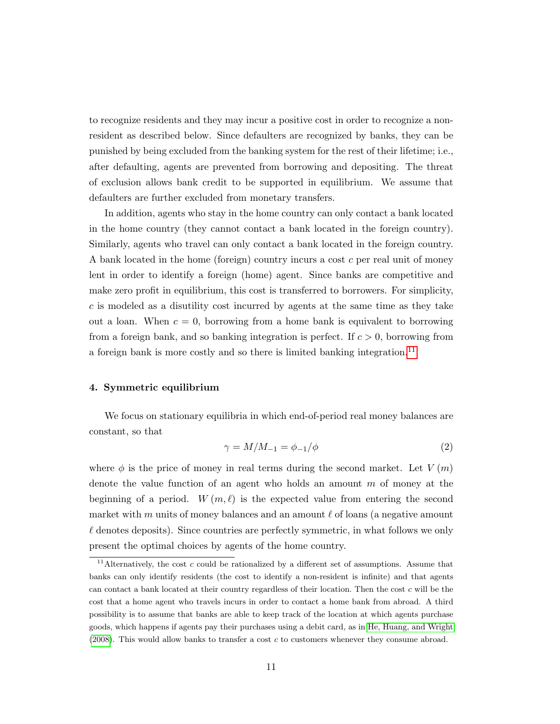to recognize residents and they may incur a positive cost in order to recognize a nonresident as described below. Since defaulters are recognized by banks, they can be punished by being excluded from the banking system for the rest of their lifetime; i.e., after defaulting, agents are prevented from borrowing and depositing. The threat of exclusion allows bank credit to be supported in equilibrium. We assume that defaulters are further excluded from monetary transfers.

In addition, agents who stay in the home country can only contact a bank located in the home country (they cannot contact a bank located in the foreign country). Similarly, agents who travel can only contact a bank located in the foreign country. A bank located in the home (foreign) country incurs a cost c per real unit of money lent in order to identify a foreign (home) agent. Since banks are competitive and make zero profit in equilibrium, this cost is transferred to borrowers. For simplicity, c is modeled as a disutility cost incurred by agents at the same time as they take out a loan. When  $c = 0$ , borrowing from a home bank is equivalent to borrowing from a foreign bank, and so banking integration is perfect. If  $c > 0$ , borrowing from a foreign bank is more costly and so there is limited banking integration.<sup>[11](#page-12-1)</sup>

## <span id="page-12-0"></span>4. Symmetric equilibrium

We focus on stationary equilibria in which end-of-period real money balances are constant, so that

<span id="page-12-2"></span>
$$
\gamma = M/M_{-1} = \phi_{-1}/\phi \tag{2}
$$

where  $\phi$  is the price of money in real terms during the second market. Let  $V(m)$ denote the value function of an agent who holds an amount  $m$  of money at the beginning of a period.  $W(m, \ell)$  is the expected value from entering the second market with m units of money balances and an amount  $\ell$  of loans (a negative amount  $\ell$  denotes deposits). Since countries are perfectly symmetric, in what follows we only present the optimal choices by agents of the home country.

<span id="page-12-1"></span> $11$ Alternatively, the cost c could be rationalized by a different set of assumptions. Assume that banks can only identify residents (the cost to identify a non-resident is infinite) and that agents can contact a bank located at their country regardless of their location. Then the cost  $c$  will be the cost that a home agent who travels incurs in order to contact a home bank from abroad. A third possibility is to assume that banks are able to keep track of the location at which agents purchase goods, which happens if agents pay their purchases using a debit card, as in [He, Huang, and Wright](#page-39-6) [\(2008\)](#page-39-6). This would allow banks to transfer a cost c to customers whenever they consume abroad.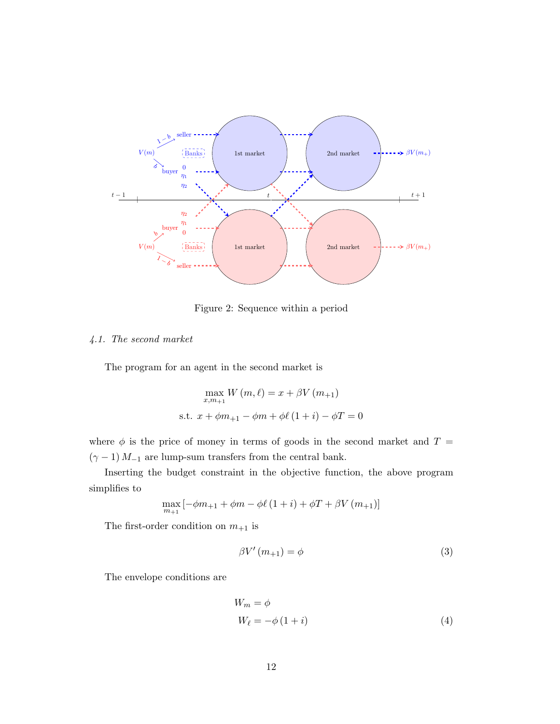

<span id="page-13-0"></span>Figure 2: Sequence within a period

# 4.1. The second market

The program for an agent in the second market is

$$
\max_{x,m+1} W(m,\ell) = x + \beta V(m+1)
$$
  
s.t.  $x + \phi m_{+1} - \phi m + \phi \ell (1 + i) - \phi T = 0$ 

where  $\phi$  is the price of money in terms of goods in the second market and  $T =$  $(\gamma - 1) M_{-1}$  are lump-sum transfers from the central bank.

Inserting the budget constraint in the objective function, the above program simplifies to

$$
\max_{m_{+1}}\left[-\phi m_{+1}+\phi m-\phi \ell\left(1+i\right)+\phi T+\beta V\left(m_{+1}\right)\right]
$$

The first-order condition on  $m_{\rm{+1}}$  is

<span id="page-13-2"></span>
$$
\beta V'(m_{+1}) = \phi \tag{3}
$$

The envelope conditions are

<span id="page-13-1"></span>
$$
W_m = \phi
$$
  

$$
W_{\ell} = -\phi (1 + i)
$$
 (4)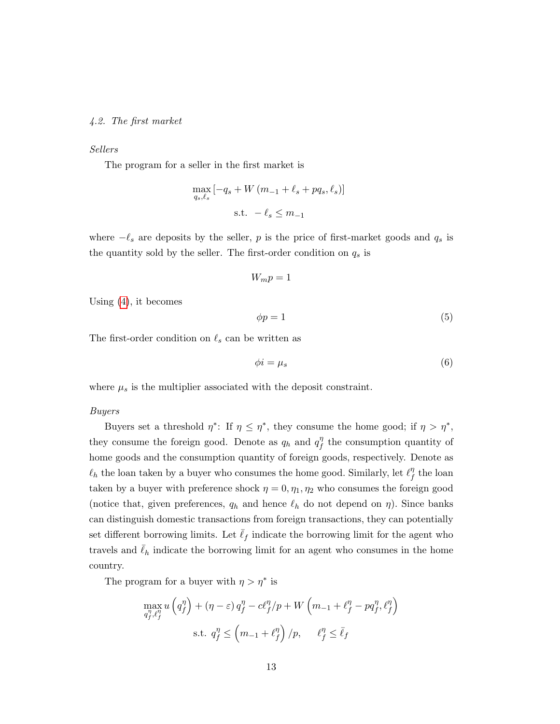#### 4.2. The first market

#### Sellers

The program for a seller in the first market is

$$
\max_{q_s,\ell_s} \left[ -q_s + W\left(m_{-1} + \ell_s + pq_s, \ell_s\right) \right]
$$
  
s.t.  $-\ell_s \leq m_{-1}$ 

where  $-\ell_s$  are deposits by the seller, p is the price of first-market goods and  $q_s$  is the quantity sold by the seller. The first-order condition on  $q_s$  is

$$
W_m p = 1
$$

Using [\(4\)](#page-13-1), it becomes

<span id="page-14-0"></span>
$$
\phi p = 1 \tag{5}
$$

The first-order condition on  $\ell_s$  can be written as

<span id="page-14-1"></span>
$$
\phi i = \mu_s \tag{6}
$$

where  $\mu_s$  is the multiplier associated with the deposit constraint.

#### Buyers

Buyers set a threshold  $\eta^*$ : If  $\eta \leq \eta^*$ , they consume the home good; if  $\eta > \eta^*$ , they consume the foreign good. Denote as  $q_h$  and  $q_f^{\eta}$  $\eta$ <sup>n</sup> the consumption quantity of home goods and the consumption quantity of foreign goods, respectively. Denote as  $\ell_h$  the loan taken by a buyer who consumes the home good. Similarly, let  $\ell_f^{\eta}$  $_{f}^{\eta}$  the loan taken by a buyer with preference shock  $\eta = 0, \eta_1, \eta_2$  who consumes the foreign good (notice that, given preferences,  $q_h$  and hence  $\ell_h$  do not depend on  $\eta$ ). Since banks can distinguish domestic transactions from foreign transactions, they can potentially set different borrowing limits. Let  $\ell_f$  indicate the borrowing limit for the agent who travels and  $\bar{\ell}_h$  indicate the borrowing limit for an agent who consumes in the home country.

The program for a buyer with  $\eta > \eta^*$  is

$$
\max_{q_f^{\eta}, \ell_f^{\eta}} u\left(q_f^{\eta}\right) + \left(\eta - \varepsilon\right) q_f^{\eta} - c \ell_f^{\eta}/p + W\left(m_{-1} + \ell_f^{\eta} - p q_f^{\eta}, \ell_f^{\eta}\right)
$$
  
s.t.  $q_f^{\eta} \le \left(m_{-1} + \ell_f^{\eta}\right)/p, \qquad \ell_f^{\eta} \le \bar{\ell}_f$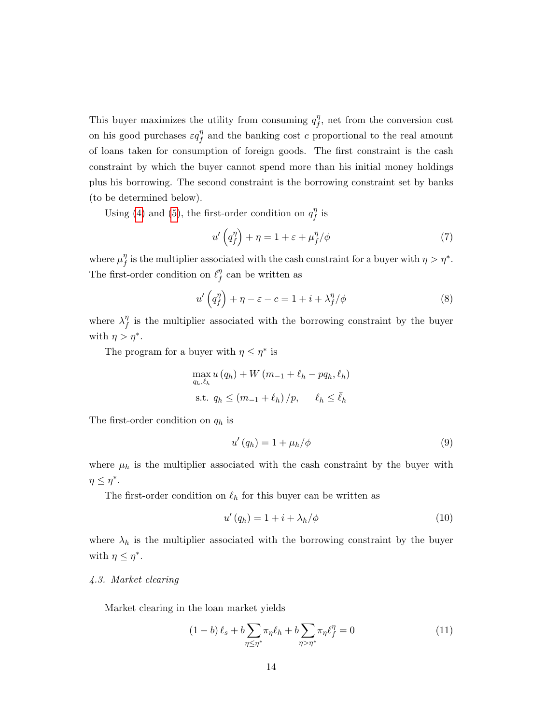This buyer maximizes the utility from consuming  $q_f^{\eta}$  $f'$ , net from the conversion cost on his good purchases  $\varepsilon q_f^{\eta}$  $\int_{f}^{\eta}$  and the banking cost c proportional to the real amount of loans taken for consumption of foreign goods. The first constraint is the cash constraint by which the buyer cannot spend more than his initial money holdings plus his borrowing. The second constraint is the borrowing constraint set by banks (to be determined below).

Using [\(4\)](#page-13-1) and [\(5\)](#page-14-0), the first-order condition on  $q_f^{\eta}$  $j^{\prime\prime}$  is

$$
u'\left(q_f^{\eta}\right) + \eta = 1 + \varepsilon + \mu_f^{\eta}/\phi \tag{7}
$$

where  $\mu_f^{\eta}$  $\eta$  is the multiplier associated with the cash constraint for a buyer with  $\eta > \eta^*$ . The first-order condition on  $\ell_f^{\eta}$  $\int_{f}^{\eta}$  can be written as

<span id="page-15-2"></span>
$$
u'\left(q_f^{\eta}\right) + \eta - \varepsilon - c = 1 + i + \lambda_f^{\eta}/\phi \tag{8}
$$

where  $\lambda_f^{\eta}$  $\int_{f}^{\eta}$  is the multiplier associated with the borrowing constraint by the buyer with  $\eta > \eta^*$ .

The program for a buyer with  $\eta \leq \eta^*$  is

$$
\max_{q_h, \ell_h} u(q_h) + W(m_{-1} + \ell_h - pq_h, \ell_h)
$$
  
s.t.  $q_h \le (m_{-1} + \ell_h) / p$ ,  $\ell_h \le \bar{\ell}_h$ 

The first-order condition on  $q_h$  is

<span id="page-15-1"></span>
$$
u'(q_h) = 1 + \mu_h/\phi \tag{9}
$$

where  $\mu_h$  is the multiplier associated with the cash constraint by the buyer with  $\eta \leq \eta^*$ .

The first-order condition on  $\ell_h$  for this buyer can be written as

<span id="page-15-3"></span>
$$
u'(q_h) = 1 + i + \lambda_h/\phi \tag{10}
$$

where  $\lambda_h$  is the multiplier associated with the borrowing constraint by the buyer with  $\eta \leq \eta^*$ .

# 4.3. Market clearing

Market clearing in the loan market yields

<span id="page-15-0"></span>
$$
(1-b)\ell_s + b\sum_{\eta \leq \eta^*} \pi_\eta \ell_h + b\sum_{\eta > \eta^*} \pi_\eta \ell_f^\eta = 0 \tag{11}
$$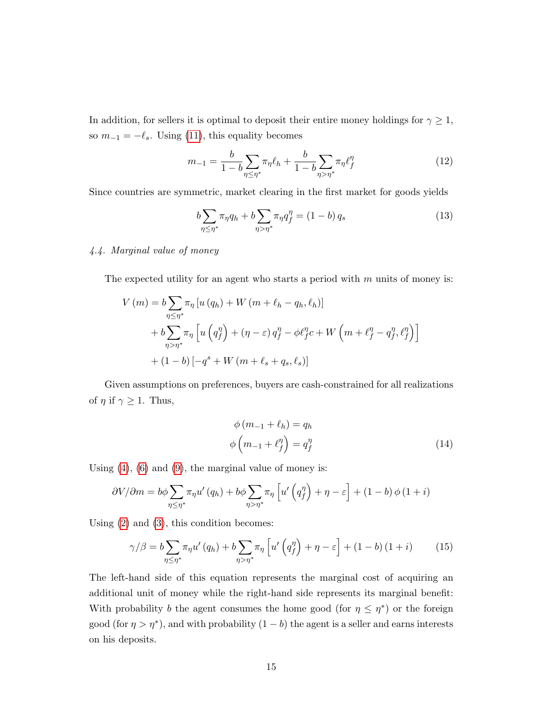In addition, for sellers it is optimal to deposit their entire money holdings for  $\gamma \geq 1$ , so  $m_{-1} = -\ell_s$ . Using [\(11\)](#page-15-0), this equality becomes

<span id="page-16-0"></span>
$$
m_{-1} = \frac{b}{1 - b} \sum_{\eta \le \eta^*} \pi_{\eta} \ell_h + \frac{b}{1 - b} \sum_{\eta > \eta^*} \pi_{\eta} \ell_f^{\eta} \tag{12}
$$

Since countries are symmetric, market clearing in the first market for goods yields

<span id="page-16-1"></span>
$$
b\sum_{\eta \le \eta^*} \pi_{\eta} q_h + b\sum_{\eta > \eta^*} \pi_{\eta} q_f^{\eta} = (1 - b) q_s \tag{13}
$$

# 4.4. Marginal value of money

The expected utility for an agent who starts a period with  $m$  units of money is:

$$
V(m) = b \sum_{\eta \leq \eta^*} \pi_{\eta} [u (q_h) + W (m + \ell_h - q_h, \ell_h)]
$$
  
+  $b \sum_{\eta > \eta^*} \pi_{\eta} [u (q_f^{\eta}) + (\eta - \varepsilon) q_f^{\eta} - \phi \ell_f^{\eta} c + W (m + \ell_f^{\eta} - q_f^{\eta}, \ell_f^{\eta})]$   
+  $(1 - b) [-q^s + W (m + \ell_s + q_s, \ell_s)]$ 

Given assumptions on preferences, buyers are cash-constrained for all realizations of  $\eta$  if  $\gamma \geq 1$ . Thus,

<span id="page-16-2"></span>
$$
\phi(m_{-1} + \ell_h) = q_h
$$
  
\n
$$
\phi\left(m_{-1} + \ell_f^{\eta}\right) = q_f^{\eta}
$$
\n(14)

Using  $(4)$ ,  $(6)$  and  $(9)$ , the marginal value of money is:

$$
\frac{\partial V}{\partial m} = b\phi \sum_{\eta \leq \eta^*} \pi_{\eta} u'(q_h) + b\phi \sum_{\eta > \eta^*} \pi_{\eta} \left[ u'\left(q_f^{\eta}\right) + \eta - \varepsilon \right] + (1 - b)\phi \left(1 + i\right)
$$

Using [\(2\)](#page-12-2) and [\(3\)](#page-13-2), this condition becomes:

<span id="page-16-3"></span>
$$
\gamma/\beta = b \sum_{\eta \leq \eta^*} \pi_{\eta} u' (q_h) + b \sum_{\eta > \eta^*} \pi_{\eta} \left[ u' \left( q_f^{\eta} \right) + \eta - \varepsilon \right] + (1 - b) (1 + i) \tag{15}
$$

The left-hand side of this equation represents the marginal cost of acquiring an additional unit of money while the right-hand side represents its marginal benefit: With probability b the agent consumes the home good (for  $\eta \leq \eta^*$ ) or the foreign good (for  $\eta > \eta^*$ ), and with probability  $(1 - b)$  the agent is a seller and earns interests on his deposits.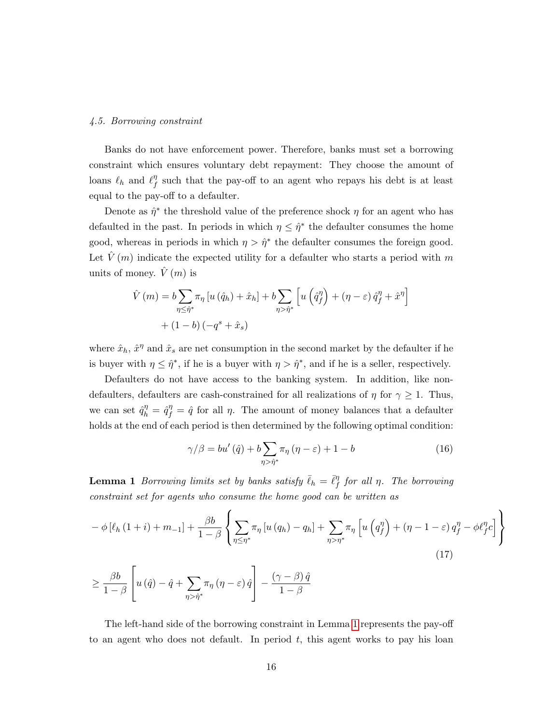#### 4.5. Borrowing constraint

Banks do not have enforcement power. Therefore, banks must set a borrowing constraint which ensures voluntary debt repayment: They choose the amount of loans  $\ell_h$  and  $\ell_f^{\eta}$  $\int_{f}^{\eta}$  such that the pay-off to an agent who repays his debt is at least equal to the pay-off to a defaulter.

Denote as  $\hat{\eta}^*$  the threshold value of the preference shock  $\eta$  for an agent who has defaulted in the past. In periods in which  $\eta \leq \hat{\eta}^*$  the defaulter consumes the home good, whereas in periods in which  $\eta > \hat{\eta}^*$  the defaulter consumes the foreign good. Let  $V(m)$  indicate the expected utility for a defaulter who starts a period with m units of money.  $\hat{V}(m)$  is

$$
\hat{V}(m) = b \sum_{\eta \leq \hat{\eta}^*} \pi_{\eta} \left[ u(\hat{q}_h) + \hat{x}_h \right] + b \sum_{\eta > \hat{\eta}^*} \left[ u(\hat{q}_f^{\eta}) + (\eta - \varepsilon) \hat{q}_f^{\eta} + \hat{x}^{\eta} \right] + (1 - b)(-q^s + \hat{x}_s)
$$

where  $\hat{x}_h$ ,  $\hat{x}^\eta$  and  $\hat{x}_s$  are net consumption in the second market by the defaulter if he is buyer with  $\eta \leq \hat{\eta}^*$ , if he is a buyer with  $\eta > \hat{\eta}^*$ , and if he is a seller, respectively.

Defaulters do not have access to the banking system. In addition, like nondefaulters, defaulters are cash-constrained for all realizations of  $\eta$  for  $\gamma \geq 1$ . Thus, we can set  $\hat{q}_h^{\eta} = \hat{q}^{\eta} = \hat{q}$  for all  $\eta$ . The amount of money balances that a defaulter holds at the end of each period is then determined by the following optimal condition:

<span id="page-17-2"></span><span id="page-17-1"></span>
$$
\gamma/\beta = bu'\left(\hat{q}\right) + b \sum_{\eta > \hat{\eta}^*} \pi_{\eta} \left(\eta - \varepsilon\right) + 1 - b \tag{16}
$$

<span id="page-17-0"></span>**Lemma 1** Borrowing limits set by banks satisfy  $\bar{\ell}_h = \bar{\ell}_f^{\eta}$  $_{f}^{\eta}$  for all  $\eta.$  The borrowing constraint set for agents who consume the home good can be written as

$$
-\phi\left[\ell_{h}\left(1+i\right)+m_{-1}\right]+\frac{\beta b}{1-\beta}\left\{\sum_{\eta\leq\eta^{*}}\pi_{\eta}\left[u\left(q_{h}\right)-q_{h}\right]+\sum_{\eta>\eta^{*}}\pi_{\eta}\left[u\left(q_{f}^{ \eta}\right)+\left(\eta-1-\varepsilon\right)q_{f}^{ \eta}-\phi\ell_{f}^{ \eta}c\right]\right\}
$$
\n
$$
\geq\frac{\beta b}{1-\beta}\left[u\left(\hat{q}\right)-\hat{q}+\sum_{\eta>\hat{\eta}^{*}}\pi_{\eta}\left(\eta-\varepsilon\right)\hat{q}\right]-\frac{\left(\gamma-\beta\right)\hat{q}}{1-\beta}\tag{17}
$$

The left-hand side of the borrowing constraint in Lemma [1](#page-17-0) represents the pay-off to an agent who does not default. In period  $t$ , this agent works to pay his loan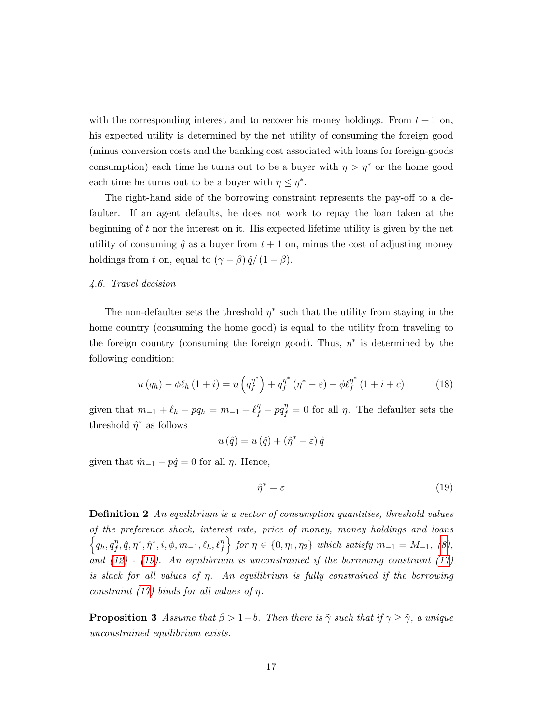with the corresponding interest and to recover his money holdings. From  $t + 1$  on, his expected utility is determined by the net utility of consuming the foreign good (minus conversion costs and the banking cost associated with loans for foreign-goods consumption) each time he turns out to be a buyer with  $\eta > \eta^*$  or the home good each time he turns out to be a buyer with  $\eta \leq \eta^*$ .

The right-hand side of the borrowing constraint represents the pay-off to a defaulter. If an agent defaults, he does not work to repay the loan taken at the beginning of  $t$  nor the interest on it. His expected lifetime utility is given by the net utility of consuming  $\hat{q}$  as a buyer from  $t + 1$  on, minus the cost of adjusting money holdings from t on, equal to  $(\gamma - \beta) \hat{q} / (1 - \beta)$ .

#### 4.6. Travel decision

The non-defaulter sets the threshold  $\eta^*$  such that the utility from staying in the home country (consuming the home good) is equal to the utility from traveling to the foreign country (consuming the foreign good). Thus,  $\eta^*$  is determined by the following condition:

<span id="page-18-2"></span>
$$
u(q_h) - \phi \ell_h (1 + i) = u \left( q_f^{\eta^*} \right) + q_f^{\eta^*} (\eta^* - \varepsilon) - \phi \ell_f^{\eta^*} (1 + i + c) \tag{18}
$$

given that  $m_{-1} + \ell_h - pq_h = m_{-1} + \ell_f^{\eta} - pq_f^{\eta} = 0$  for all  $\eta$ . The defaulter sets the threshold  $\hat{\eta}^*$  as follows

$$
u(\hat{q}) = u(\hat{q}) + (\hat{\eta}^* - \varepsilon)\,\hat{q}
$$

given that  $\hat{m}_{-1} - p\hat{q} = 0$  for all  $\eta$ . Hence,

<span id="page-18-0"></span>
$$
\hat{\eta}^* = \varepsilon \tag{19}
$$

Definition 2 An equilibrium is a vector of consumption quantities, threshold values of the preference shock, interest rate, price of money, money holdings and loans  $\{q_h, q^\eta_f\}$  $\{f^{\eta}, \hat{q}, \eta^*, \hat{\eta}^*, i, \phi, m_{-1}, \ell_h, \ell_f^{\eta}\}$  for  $\eta \in \{0, \eta_1, \eta_2\}$  which satisfy  $m_{-1} = M_{-1}$ , [\(8\)](#page-15-2), and  $(12)$  -  $(19)$ . An equilibrium is unconstrained if the borrowing constraint  $(17)$ is slack for all values of  $\eta$ . An equilibrium is fully constrained if the borrowing constraint [\(17\)](#page-17-1) binds for all values of  $\eta$ .

<span id="page-18-1"></span>**Proposition 3** Assume that  $\beta > 1-b$ . Then there is  $\tilde{\gamma}$  such that if  $\gamma \geq \tilde{\gamma}$ , a unique unconstrained equilibrium exists.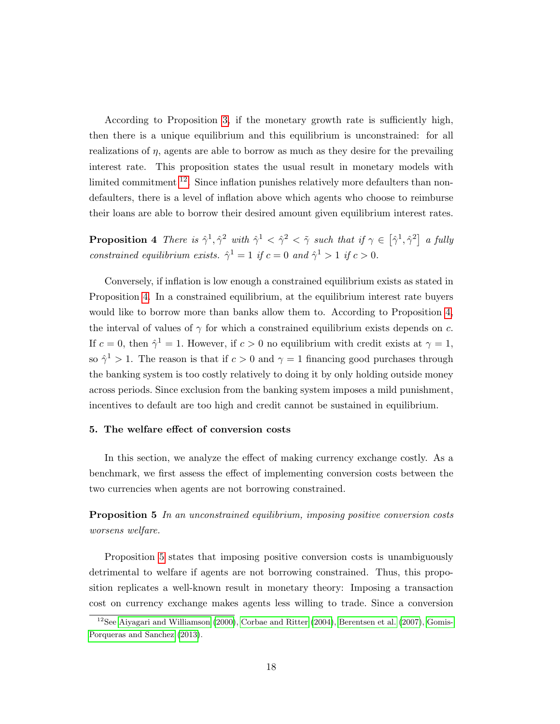According to Proposition [3,](#page-18-1) if the monetary growth rate is sufficiently high, then there is a unique equilibrium and this equilibrium is unconstrained: for all realizations of  $\eta$ , agents are able to borrow as much as they desire for the prevailing interest rate. This proposition states the usual result in monetary models with limited commitment <sup>[12](#page-19-1)</sup>. Since inflation punishes relatively more defaulters than nondefaulters, there is a level of inflation above which agents who choose to reimburse their loans are able to borrow their desired amount given equilibrium interest rates.

<span id="page-19-2"></span>**Proposition 4** There is  $\hat{\gamma}^1$ ,  $\hat{\gamma}^2$  with  $\hat{\gamma}^1 < \hat{\gamma}^2 < \tilde{\gamma}$  such that if  $\gamma \in [\hat{\gamma}^1, \hat{\gamma}^2]$  a fully constrained equilibrium exists.  $\hat{\gamma}^1 = 1$  if  $c = 0$  and  $\hat{\gamma}^1 > 1$  if  $c > 0$ .

Conversely, if inflation is low enough a constrained equilibrium exists as stated in Proposition [4.](#page-19-2) In a constrained equilibrium, at the equilibrium interest rate buyers would like to borrow more than banks allow them to. According to Proposition [4,](#page-19-2) the interval of values of  $\gamma$  for which a constrained equilibrium exists depends on c. If  $c = 0$ , then  $\hat{\gamma}^1 = 1$ . However, if  $c > 0$  no equilibrium with credit exists at  $\gamma = 1$ , so  $\hat{\gamma}^1 > 1$ . The reason is that if  $c > 0$  and  $\gamma = 1$  financing good purchases through the banking system is too costly relatively to doing it by only holding outside money across periods. Since exclusion from the banking system imposes a mild punishment, incentives to default are too high and credit cannot be sustained in equilibrium.

#### <span id="page-19-0"></span>5. The welfare effect of conversion costs

In this section, we analyze the effect of making currency exchange costly. As a benchmark, we first assess the effect of implementing conversion costs between the two currencies when agents are not borrowing constrained.

<span id="page-19-3"></span>**Proposition 5** In an unconstrained equilibrium, imposing positive conversion costs worsens welfare.

Proposition [5](#page-19-3) states that imposing positive conversion costs is unambiguously detrimental to welfare if agents are not borrowing constrained. Thus, this proposition replicates a well-known result in monetary theory: Imposing a transaction cost on currency exchange makes agents less willing to trade. Since a conversion

<span id="page-19-1"></span> $12$ See [Aiyagari and Williamson](#page-38-8) [\(2000\)](#page-38-8), [Corbae and Ritter](#page-39-7) [\(2004\)](#page-39-7), [Berentsen et al.](#page-38-3) [\(2007\)](#page-38-3), [Gomis-](#page-39-8)[Porqueras and Sanchez](#page-39-8) [\(2013\)](#page-39-8).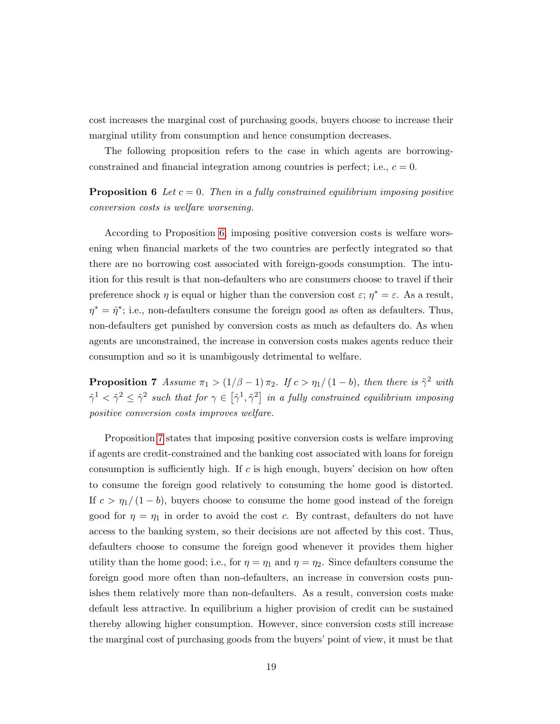cost increases the marginal cost of purchasing goods, buyers choose to increase their marginal utility from consumption and hence consumption decreases.

The following proposition refers to the case in which agents are borrowingconstrained and financial integration among countries is perfect; i.e.,  $c = 0$ .

<span id="page-20-0"></span>**Proposition 6** Let  $c = 0$ . Then in a fully constrained equilibrium imposing positive conversion costs is welfare worsening.

According to Proposition [6,](#page-20-0) imposing positive conversion costs is welfare worsening when financial markets of the two countries are perfectly integrated so that there are no borrowing cost associated with foreign-goods consumption. The intuition for this result is that non-defaulters who are consumers choose to travel if their preference shock  $\eta$  is equal or higher than the conversion cost  $\varepsilon$ ;  $\eta^* = \varepsilon$ . As a result,  $\eta^* = \hat{\eta}^*$ ; i.e., non-defaulters consume the foreign good as often as defaulters. Thus, non-defaulters get punished by conversion costs as much as defaulters do. As when agents are unconstrained, the increase in conversion costs makes agents reduce their consumption and so it is unambigously detrimental to welfare.

<span id="page-20-1"></span>**Proposition 7** Assume  $\pi_1 > (1/\beta - 1)\pi_2$ . If  $c > \eta_1/(1-b)$ , then there is  $\tilde{\gamma}^2$  with  $\hat{\gamma}^1 < \tilde{\gamma}^2 \leq \hat{\gamma}^2$  such that for  $\gamma \in [\hat{\gamma}^1, \tilde{\gamma}^2]$  in a fully constrained equilibrium imposing positive conversion costs improves welfare.

Proposition [7](#page-20-1) states that imposing positive conversion costs is welfare improving if agents are credit-constrained and the banking cost associated with loans for foreign consumption is sufficiently high. If c is high enough, buyers' decision on how often to consume the foreign good relatively to consuming the home good is distorted. If  $c > \eta_1/(1-b)$ , buyers choose to consume the home good instead of the foreign good for  $\eta = \eta_1$  in order to avoid the cost c. By contrast, defaulters do not have access to the banking system, so their decisions are not affected by this cost. Thus, defaulters choose to consume the foreign good whenever it provides them higher utility than the home good; i.e., for  $\eta = \eta_1$  and  $\eta = \eta_2$ . Since defaulters consume the foreign good more often than non-defaulters, an increase in conversion costs punishes them relatively more than non-defaulters. As a result, conversion costs make default less attractive. In equilibrium a higher provision of credit can be sustained thereby allowing higher consumption. However, since conversion costs still increase the marginal cost of purchasing goods from the buyers' point of view, it must be that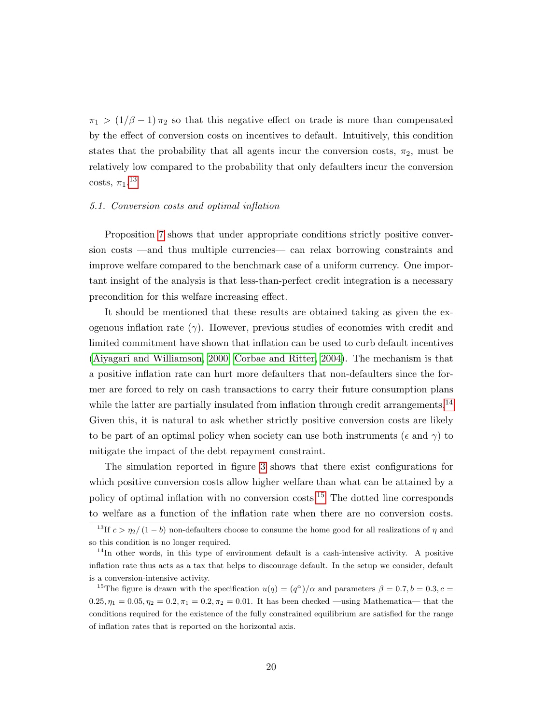$\pi_1 > (1/\beta - 1)\pi_2$  so that this negative effect on trade is more than compensated by the effect of conversion costs on incentives to default. Intuitively, this condition states that the probability that all agents incur the conversion costs,  $\pi_2$ , must be relatively low compared to the probability that only defaulters incur the conversion costs,  $\pi_1$ .<sup>[13](#page-21-0)</sup>

#### <span id="page-21-3"></span>5.1. Conversion costs and optimal inflation

Proposition [7](#page-20-1) shows that under appropriate conditions strictly positive conversion costs —and thus multiple currencies— can relax borrowing constraints and improve welfare compared to the benchmark case of a uniform currency. One important insight of the analysis is that less-than-perfect credit integration is a necessary precondition for this welfare increasing effect.

It should be mentioned that these results are obtained taking as given the exogenous inflation rate  $(\gamma)$ . However, previous studies of economies with credit and limited commitment have shown that inflation can be used to curb default incentives [\(Aiyagari and Williamson, 2000,](#page-38-8) [Corbae and Ritter, 2004\)](#page-39-7). The mechanism is that a positive inflation rate can hurt more defaulters that non-defaulters since the former are forced to rely on cash transactions to carry their future consumption plans while the latter are partially insulated from inflation through credit arrangements.<sup>[14](#page-21-1)</sup> Given this, it is natural to ask whether strictly positive conversion costs are likely to be part of an optimal policy when society can use both instruments ( $\epsilon$  and  $\gamma$ ) to mitigate the impact of the debt repayment constraint.

The simulation reported in figure [3](#page-22-1) shows that there exist configurations for which positive conversion costs allow higher welfare than what can be attained by a policy of optimal inflation with no conversion costs.<sup>[15](#page-21-2)</sup> The dotted line corresponds to welfare as a function of the inflation rate when there are no conversion costs.

<span id="page-21-0"></span><sup>&</sup>lt;sup>13</sup>If  $c > \frac{\eta_2}{1 - b}$  non-defaulters choose to consume the home good for all realizations of  $\eta$  and so this condition is no longer required.

<span id="page-21-1"></span> $14$ In other words, in this type of environment default is a cash-intensive activity. A positive inflation rate thus acts as a tax that helps to discourage default. In the setup we consider, default is a conversion-intensive activity.

<span id="page-21-2"></span><sup>&</sup>lt;sup>15</sup>The figure is drawn with the specification  $u(q) = (q^{\alpha})/\alpha$  and parameters  $\beta = 0.7, b = 0.3, c =$  $0.25, \eta_1 = 0.05, \eta_2 = 0.2, \pi_1 = 0.2, \pi_2 = 0.01$ . It has been checked —using Mathematica— that the conditions required for the existence of the fully constrained equilibrium are satisfied for the range of inflation rates that is reported on the horizontal axis.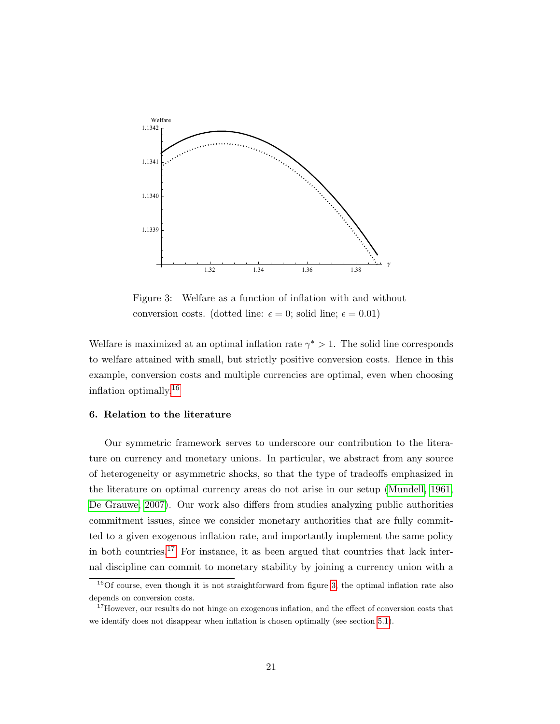

<span id="page-22-1"></span>Figure 3: Welfare as a function of inflation with and without conversion costs. (dotted line:  $\epsilon = 0$ ; solid line;  $\epsilon = 0.01$ )

Welfare is maximized at an optimal inflation rate  $\gamma^* > 1$ . The solid line corresponds to welfare attained with small, but strictly positive conversion costs. Hence in this example, conversion costs and multiple currencies are optimal, even when choosing inflation optimally.[16](#page-22-2)

#### <span id="page-22-0"></span>6. Relation to the literature

Our symmetric framework serves to underscore our contribution to the literature on currency and monetary unions. In particular, we abstract from any source of heterogeneity or asymmetric shocks, so that the type of tradeoffs emphasized in the literature on optimal currency areas do not arise in our setup [\(Mundell, 1961,](#page-41-8) [De Grauwe, 2007\)](#page-39-9). Our work also differs from studies analyzing public authorities commitment issues, since we consider monetary authorities that are fully committed to a given exogenous inflation rate, and importantly implement the same policy in both countries.<sup>[17](#page-22-3)</sup> For instance, it as been argued that countries that lack internal discipline can commit to monetary stability by joining a currency union with a

<span id="page-22-2"></span><sup>&</sup>lt;sup>16</sup>Of course, even though it is not straightforward from figure [3,](#page-22-1) the optimal inflation rate also depends on conversion costs.

<span id="page-22-3"></span><sup>&</sup>lt;sup>17</sup>However, our results do not hinge on exogenous inflation, and the effect of conversion costs that we identify does not disappear when inflation is chosen optimally (see section [5.1\)](#page-21-3).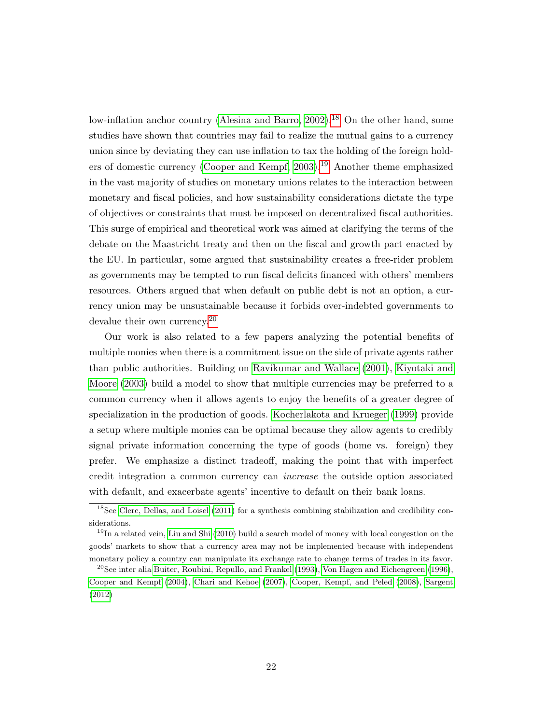low-inflation anchor country [\(Alesina and Barro, 2002\)](#page-38-9).<sup>[18](#page-23-1)</sup> On the other hand, some studies have shown that countries may fail to realize the mutual gains to a currency union since by deviating they can use inflation to tax the holding of the foreign holders of domestic currency (Cooper and Kempf,  $2003$ ).<sup>[19](#page-23-2)</sup> Another theme emphasized in the vast majority of studies on monetary unions relates to the interaction between monetary and fiscal policies, and how sustainability considerations dictate the type of objectives or constraints that must be imposed on decentralized fiscal authorities. This surge of empirical and theoretical work was aimed at clarifying the terms of the debate on the Maastricht treaty and then on the fiscal and growth pact enacted by the EU. In particular, some argued that sustainability creates a free-rider problem as governments may be tempted to run fiscal deficits financed with others' members resources. Others argued that when default on public debt is not an option, a currency union may be unsustainable because it forbids over-indebted governments to devalue their own currency.[20](#page-23-3)

Our work is also related to a few papers analyzing the potential benefits of multiple monies when there is a commitment issue on the side of private agents rather than public authorities. Building on [Ravikumar and Wallace](#page-41-9) [\(2001\)](#page-41-9), [Kiyotaki and](#page-40-9) [Moore](#page-40-9) [\(2003\)](#page-40-9) build a model to show that multiple currencies may be preferred to a common currency when it allows agents to enjoy the benefits of a greater degree of specialization in the production of goods. [Kocherlakota and Krueger](#page-40-10) [\(1999\)](#page-40-10) provide a setup where multiple monies can be optimal because they allow agents to credibly signal private information concerning the type of goods (home vs. foreign) they prefer. We emphasize a distinct tradeoff, making the point that with imperfect credit integration a common currency can increase the outside option associated with default, and exacerbate agents' incentive to default on their bank loans.

<span id="page-23-1"></span><span id="page-23-0"></span> $18$ See [Clerc, Dellas, and Loisel](#page-38-10) [\(2011\)](#page-38-10) for a synthesis combining stabilization and credibility considerations.

<span id="page-23-2"></span><sup>&</sup>lt;sup>19</sup>In a related vein, [Liu and Shi](#page-40-11) [\(2010\)](#page-40-11) build a search model of money with local congestion on the goods' markets to show that a currency area may not be implemented because with independent monetary policy a country can manipulate its exchange rate to change terms of trades in its favor.

<span id="page-23-3"></span><sup>&</sup>lt;sup>20</sup>See inter alia [Buiter, Roubini, Repullo, and Frankel](#page-38-11) [\(1993\)](#page-38-11), [Von Hagen and Eichengreen](#page-41-10) [\(1996\)](#page-41-10), [Cooper and Kempf](#page-39-11) [\(2004\)](#page-39-11), [Chari and Kehoe](#page-38-12) [\(2007\)](#page-38-12), [Cooper, Kempf, and Peled](#page-39-12) [\(2008\)](#page-39-12), [Sargent](#page-41-11) [\(2012\)](#page-41-11)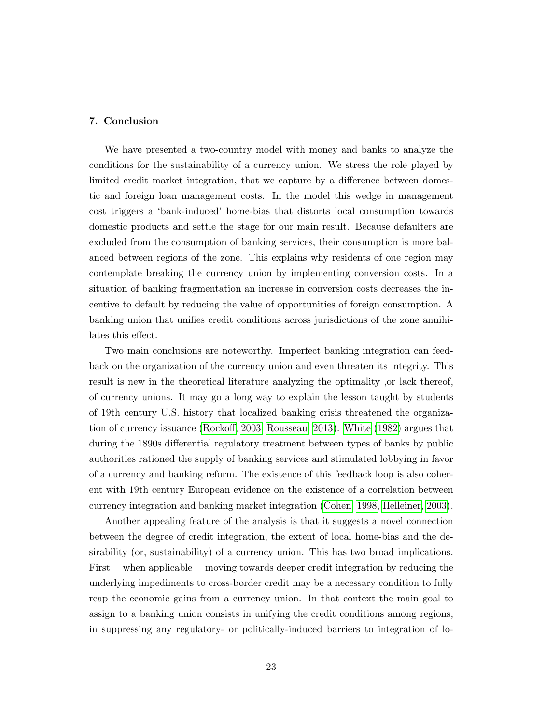# 7. Conclusion

We have presented a two-country model with money and banks to analyze the conditions for the sustainability of a currency union. We stress the role played by limited credit market integration, that we capture by a difference between domestic and foreign loan management costs. In the model this wedge in management cost triggers a 'bank-induced' home-bias that distorts local consumption towards domestic products and settle the stage for our main result. Because defaulters are excluded from the consumption of banking services, their consumption is more balanced between regions of the zone. This explains why residents of one region may contemplate breaking the currency union by implementing conversion costs. In a situation of banking fragmentation an increase in conversion costs decreases the incentive to default by reducing the value of opportunities of foreign consumption. A banking union that unifies credit conditions across jurisdictions of the zone annihilates this effect.

Two main conclusions are noteworthy. Imperfect banking integration can feedback on the organization of the currency union and even threaten its integrity. This result is new in the theoretical literature analyzing the optimality ,or lack thereof, of currency unions. It may go a long way to explain the lesson taught by students of 19th century U.S. history that localized banking crisis threatened the organization of currency issuance [\(Rockoff, 2003,](#page-41-1) [Rousseau, 2013\)](#page-41-2). [White](#page-42-0) [\(1982\)](#page-42-0) argues that during the 1890s differential regulatory treatment between types of banks by public authorities rationed the supply of banking services and stimulated lobbying in favor of a currency and banking reform. The existence of this feedback loop is also coherent with 19th century European evidence on the existence of a correlation between currency integration and banking market integration [\(Cohen, 1998,](#page-39-13) [Helleiner, 2003\)](#page-39-14).

Another appealing feature of the analysis is that it suggests a novel connection between the degree of credit integration, the extent of local home-bias and the desirability (or, sustainability) of a currency union. This has two broad implications. First —when applicable— moving towards deeper credit integration by reducing the underlying impediments to cross-border credit may be a necessary condition to fully reap the economic gains from a currency union. In that context the main goal to assign to a banking union consists in unifying the credit conditions among regions, in suppressing any regulatory- or politically-induced barriers to integration of lo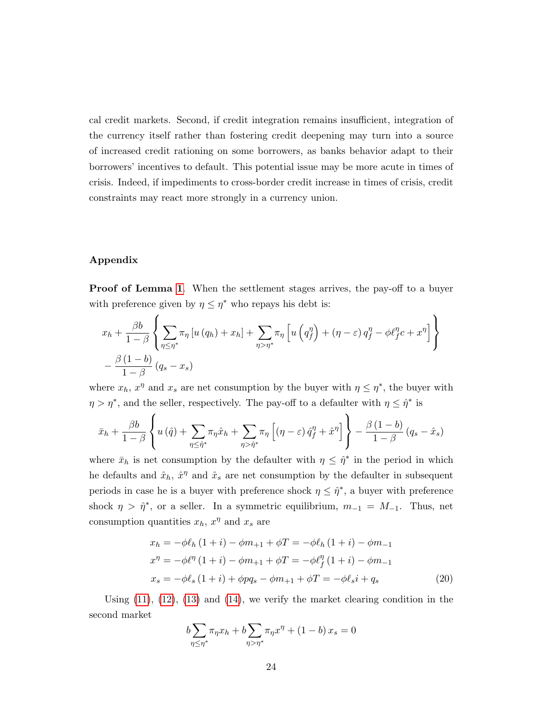cal credit markets. Second, if credit integration remains insufficient, integration of the currency itself rather than fostering credit deepening may turn into a source of increased credit rationing on some borrowers, as banks behavior adapt to their borrowers' incentives to default. This potential issue may be more acute in times of crisis. Indeed, if impediments to cross-border credit increase in times of crisis, credit constraints may react more strongly in a currency union.

#### Appendix

Proof of Lemma [1](#page-17-0). When the settlement stages arrives, the pay-off to a buyer with preference given by  $\eta\leq\eta^*$  who repays his debt is:

$$
x_{h} + \frac{\beta b}{1 - \beta} \left\{ \sum_{\eta \leq \eta^{*}} \pi_{\eta} \left[ u(q_{h}) + x_{h} \right] + \sum_{\eta > \eta^{*}} \pi_{\eta} \left[ u(q_{f}^{\eta}) + (\eta - \varepsilon) q_{f}^{\eta} - \phi \ell_{f}^{\eta} c + x^{\eta} \right] \right\}
$$

$$
- \frac{\beta (1 - b)}{1 - \beta} (q_{s} - x_{s})
$$

where  $x_h$ ,  $x^\eta$  and  $x_s$  are net consumption by the buyer with  $\eta \leq \eta^*$ , the buyer with  $\eta>\eta^*,$  and the seller, respectively. The pay-off to a defaulter with  $\eta\leq\hat{\eta}^*$  is

$$
\bar{x}_h + \frac{\beta b}{1 - \beta} \left\{ u(\hat{q}) + \sum_{\eta \leq \hat{\eta}^*} \pi_\eta \hat{x}_h + \sum_{\eta > \hat{\eta}^*} \pi_\eta \left[ (\eta - \varepsilon) \, \hat{q}_f^\eta + \hat{x}^\eta \right] \right\} - \frac{\beta \, (1 - b)}{1 - \beta} \, (q_s - \hat{x}_s)
$$

where  $\bar{x}_h$  is net consumption by the defaulter with  $\eta \leq \hat{\eta}^*$  in the period in which he defaults and  $\hat{x}_h$ ,  $\hat{x}^\eta$  and  $\hat{x}_s$  are net consumption by the defaulter in subsequent periods in case he is a buyer with preference shock  $\eta \leq \hat{\eta}^*$ , a buyer with preference shock  $\eta > \hat{\eta}^*$ , or a seller. In a symmetric equilibrium,  $m_{-1} = M_{-1}$ . Thus, net consumption quantities  $x_h$ ,  $x^\eta$  and  $x_s$  are

$$
x_h = -\phi \ell_h (1 + i) - \phi m_{+1} + \phi T = -\phi \ell_h (1 + i) - \phi m_{-1}
$$
  
\n
$$
x^\eta = -\phi \ell^\eta (1 + i) - \phi m_{+1} + \phi T = -\phi \ell_f^\eta (1 + i) - \phi m_{-1}
$$
  
\n
$$
x_s = -\phi \ell_s (1 + i) + \phi p q_s - \phi m_{+1} + \phi T = -\phi \ell_s i + q_s
$$
\n(20)

Using  $(11)$ ,  $(12)$ ,  $(13)$  and  $(14)$ , we verify the market clearing condition in the second market

<span id="page-25-0"></span>
$$
b\sum_{\eta \leq \eta^*} \pi_{\eta} x_h + b\sum_{\eta > \eta^*} \pi_{\eta} x^{\eta} + (1 - b) x_s = 0
$$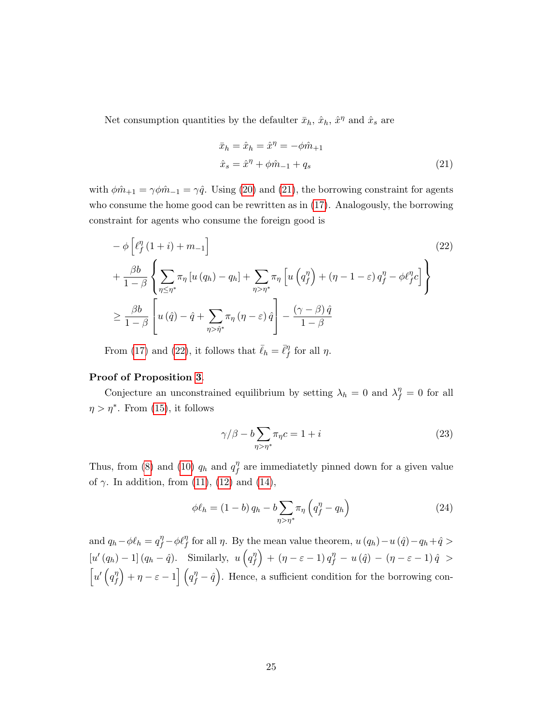Net consumption quantities by the defaulter  $\bar{x}_h$ ,  $\hat{x}_h$ ,  $\hat{x}^\eta$  and  $\hat{x}_s$  are

<span id="page-26-1"></span><span id="page-26-0"></span>
$$
\bar{x}_h = \hat{x}_h = \hat{x}^\eta = -\phi \hat{m}_{+1}
$$
  

$$
\hat{x}_s = \hat{x}^\eta + \phi \hat{m}_{-1} + q_s
$$
 (21)

with  $\phi \hat{m}_{+1} = \gamma \phi \hat{m}_{-1} = \gamma \hat{q}$ . Using [\(20\)](#page-25-0) and [\(21\)](#page-26-0), the borrowing constraint for agents who consume the home good can be rewritten as in [\(17\)](#page-17-1). Analogously, the borrowing constraint for agents who consume the foreign good is

$$
- \phi \left[ \ell_f^{\eta} (1+i) + m_{-1} \right]
$$
\n
$$
+ \frac{\beta b}{1-\beta} \left\{ \sum_{\eta \le \eta^*} \pi_{\eta} \left[ u (q_h) - q_h \right] + \sum_{\eta > \eta^*} \pi_{\eta} \left[ u \left( q_f^{\eta} \right) + (\eta - 1 - \varepsilon) q_f^{\eta} - \phi \ell_f^{\eta} c \right] \right\}
$$
\n
$$
\ge \frac{\beta b}{1-\beta} \left[ u (\hat{q}) - \hat{q} + \sum_{\eta > \hat{\eta}^*} \pi_{\eta} (\eta - \varepsilon) \hat{q} \right] - \frac{(\gamma - \beta) \hat{q}}{1-\beta}
$$
\n(22)

From [\(17\)](#page-17-1) and [\(22\)](#page-26-1), it follows that  $\bar{\ell}_h = \bar{\ell}_f^{\eta}$  $_{f}^{\eta}$  for all  $\eta$ .

## Proof of Proposition [3](#page-18-1).

Conjecture an unconstrained equilibrium by setting  $\lambda_h = 0$  and  $\lambda_f^{\eta} = 0$  for all  $\eta > \eta^*$ . From [\(15\)](#page-16-3), it follows

<span id="page-26-2"></span>
$$
\gamma/\beta - b \sum_{\eta > \eta^*} \pi_\eta c = 1 + i \tag{23}
$$

Thus, from [\(8\)](#page-15-2) and [\(10\)](#page-15-3)  $q_h$  and  $q_f^{\eta}$  $\int_{f}^{\eta}$  are immediatetly pinned down for a given value of  $\gamma$ . In addition, from [\(11\)](#page-15-0), [\(12\)](#page-16-0) and [\(14\)](#page-16-2),

<span id="page-26-3"></span>
$$
\phi \ell_h = (1 - b) q_h - b \sum_{\eta > \eta^*} \pi_\eta \left( q_f^\eta - q_h \right) \tag{24}
$$

and  $q_h - \phi \ell_h = q_f^{\eta} - \phi \ell_f^{\eta}$  for all  $\eta$ . By the mean value theorem,  $u(q_h) - u(q) - q_h + \hat{q} >$  $[u'(q_h) - 1](q_h - \hat{q})$ . Similarly,  $u(q_f^{\eta})$  $\left( \begin{matrix} \gamma \ f \end{matrix} \right) \, + \, \left( \eta - \varepsilon - 1 \right) q^{\eta}_{f} \, - \, u \left( \hat{q} \right) \, - \, \left( \eta - \varepsilon - 1 \right) \hat{q} \,\,\, > \,$  $\lceil u'\rceil q_f^{\eta}$  $\binom{n}{f} + \eta - \varepsilon - 1 \left[ \left( q_f^{\eta} - \hat{q} \right)$ . Hence, a sufficient condition for the borrowing con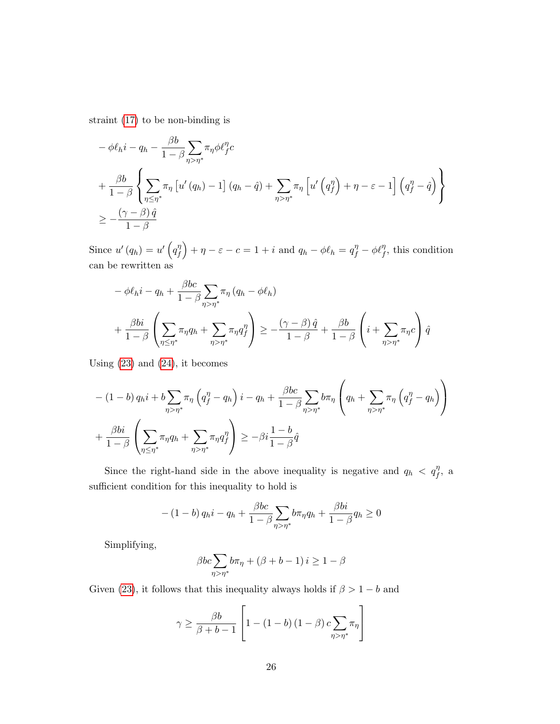straint [\(17\)](#page-17-1) to be non-binding is

$$
-\phi \ell_h i - q_h - \frac{\beta b}{1 - \beta} \sum_{\eta > \eta^*} \pi_\eta \phi \ell_f^\eta c
$$
  
+ 
$$
\frac{\beta b}{1 - \beta} \left\{ \sum_{\eta \leq \eta^*} \pi_\eta \left[ u'(q_h) - 1 \right] (q_h - \hat{q}) + \sum_{\eta > \eta^*} \pi_\eta \left[ u'\left(q_f^\eta\right) + \eta - \varepsilon - 1 \right] \left( q_f^\eta - \hat{q} \right) \right\}
$$
  

$$
\geq -\frac{(\gamma - \beta) \hat{q}}{1 - \beta}
$$

Since  $u'(q_h) = u'\left(q_f^{\eta}\right)$  $\begin{bmatrix} \eta \\ f \end{bmatrix} + \eta - \varepsilon - c = 1 + i$  and  $q_h - \phi \ell_h = q_f^{\eta} - \phi \ell_f^{\eta}$ , this condition can be rewritten as

$$
-\phi \ell_h i - q_h + \frac{\beta bc}{1 - \beta} \sum_{\eta > \eta^*} \pi_\eta (q_h - \phi \ell_h)
$$
  
+ 
$$
\frac{\beta bi}{1 - \beta} \left( \sum_{\eta \leq \eta^*} \pi_\eta q_h + \sum_{\eta > \eta^*} \pi_\eta q_f^{\eta} \right) \geq -\frac{(\gamma - \beta) \hat{q}}{1 - \beta} + \frac{\beta b}{1 - \beta} \left( i + \sum_{\eta > \eta^*} \pi_\eta c \right) \hat{q}
$$

Using  $(23)$  and  $(24)$ , it becomes

$$
-(1-b) q_h i + b \sum_{\eta > \eta^*} \pi_{\eta} \left( q_f^{\eta} - q_h \right) i - q_h + \frac{\beta bc}{1 - \beta} \sum_{\eta > \eta^*} b \pi_{\eta} \left( q_h + \sum_{\eta > \eta^*} \pi_{\eta} \left( q_f^{\eta} - q_h \right) \right) + \frac{\beta bi}{1 - \beta} \left( \sum_{\eta \leq \eta^*} \pi_{\eta} q_h + \sum_{\eta > \eta^*} \pi_{\eta} q_f^{\eta} \right) \geq -\beta i \frac{1 - b}{1 - \beta} \hat{q}
$$

Since the right-hand side in the above inequality is negative and  $q_h < q_f^{\eta}$ , a sufficient condition for this inequality to hold is

$$
-(1-b) q_h i - q_h + \frac{\beta bc}{1-\beta} \sum_{\eta > \eta^*} b \pi_\eta q_h + \frac{\beta bi}{1-\beta} q_h \ge 0
$$

Simplifying,

$$
\beta bc \sum_{\eta > \eta^*} b\pi_{\eta} + (\beta + b - 1) i \ge 1 - \beta
$$

Given [\(23\)](#page-26-2), it follows that this inequality always holds if  $\beta>1-b$  and

$$
\gamma \ge \frac{\beta b}{\beta + b - 1} \left[ 1 - (1 - b) (1 - \beta) c \sum_{\eta > \eta^*} \pi_{\eta} \right]
$$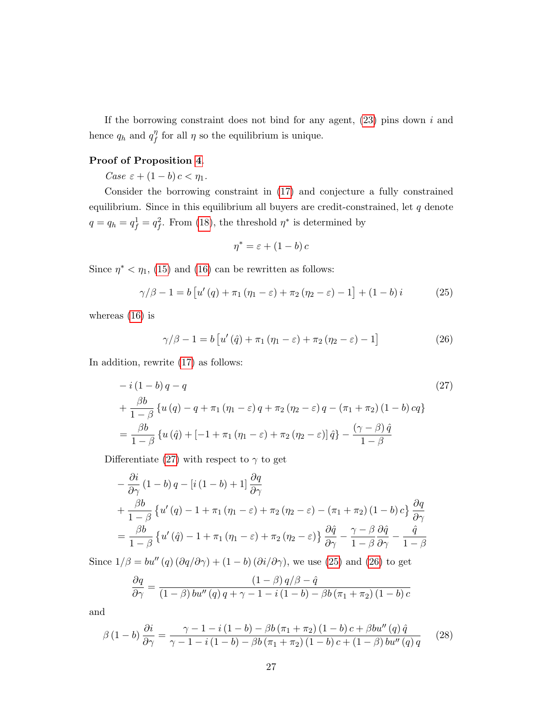If the borrowing constraint does not bind for any agent,  $(23)$  pins down i and hence  $q_h$  and  $q_f^{\eta}$  $\int_{f}^{\eta}$  for all  $\eta$  so the equilibrium is unique.

# Proof of Proposition [4](#page-19-2).

Case  $\varepsilon + (1-b)c < \eta_1$ .

Consider the borrowing constraint in [\(17\)](#page-17-1) and conjecture a fully constrained equilibrium. Since in this equilibrium all buyers are credit-constrained, let  $q$  denote  $q = q_h = q_f^1 = q_f^2$ . From [\(18\)](#page-18-2), the threshold  $\eta^*$  is determined by

<span id="page-28-0"></span>
$$
\eta^* = \varepsilon + (1 - b) c
$$

Since  $\eta^* < \eta_1$ , [\(15\)](#page-16-3) and [\(16\)](#page-17-2) can be rewritten as follows:

<span id="page-28-1"></span>
$$
\gamma/\beta - 1 = b \left[ u'(q) + \pi_1 (\eta_1 - \varepsilon) + \pi_2 (\eta_2 - \varepsilon) - 1 \right] + (1 - b)i \tag{25}
$$

whereas [\(16\)](#page-17-2) is

<span id="page-28-2"></span>
$$
\gamma/\beta - 1 = b \left[ u' \left( \hat{q} \right) + \pi_1 \left( \eta_1 - \varepsilon \right) + \pi_2 \left( \eta_2 - \varepsilon \right) - 1 \right] \tag{26}
$$

In addition, rewrite [\(17\)](#page-17-1) as follows:

$$
-i (1 - b) q - q
$$
\n
$$
+ \frac{\beta b}{1 - \beta} \{ u (q) - q + \pi_1 (\eta_1 - \varepsilon) q + \pi_2 (\eta_2 - \varepsilon) q - (\pi_1 + \pi_2) (1 - b) c q \}
$$
\n
$$
= \frac{\beta b}{1 - \beta} \{ u (\hat{q}) + [-1 + \pi_1 (\eta_1 - \varepsilon) + \pi_2 (\eta_2 - \varepsilon)] \hat{q} \} - \frac{(\gamma - \beta) \hat{q}}{1 - \beta}
$$
\n(27)

Differentiate [\(27\)](#page-28-0) with respect to  $\gamma$  to get

$$
-\frac{\partial i}{\partial \gamma} (1 - b) q - [i (1 - b) + 1] \frac{\partial q}{\partial \gamma} \n+ \frac{\beta b}{1 - \beta} \left\{ u'(q) - 1 + \pi_1 (\eta_1 - \varepsilon) + \pi_2 (\eta_2 - \varepsilon) - (\pi_1 + \pi_2) (1 - b) c \right\} \frac{\partial q}{\partial \gamma} \n= \frac{\beta b}{1 - \beta} \left\{ u'(q) - 1 + \pi_1 (\eta_1 - \varepsilon) + \pi_2 (\eta_2 - \varepsilon) \right\} \frac{\partial \hat{q}}{\partial \gamma} - \frac{\gamma - \beta}{1 - \beta} \frac{\partial \hat{q}}{\partial \gamma} - \frac{\hat{q}}{1 - \beta}
$$

Since  $1/\beta = bu''(q) (\partial q/\partial \gamma) + (1 - b) (\partial i/\partial \gamma)$ , we use [\(25\)](#page-28-1) and [\(26\)](#page-28-2) to get

$$
\frac{\partial q}{\partial \gamma} = \frac{\left(1 - \beta\right) q/\beta - \hat{q}}{\left(1 - \beta\right) bu''\left(q\right) q + \gamma - 1 - i\left(1 - b\right) - \beta b \left(\pi_1 + \pi_2\right) \left(1 - b\right) c}
$$

and

<span id="page-28-3"></span>
$$
\beta (1 - b) \frac{\partial i}{\partial \gamma} = \frac{\gamma - 1 - i (1 - b) - \beta b (\pi_1 + \pi_2) (1 - b) c + \beta b u'' (q) \hat{q}}{\gamma - 1 - i (1 - b) - \beta b (\pi_1 + \pi_2) (1 - b) c + (1 - \beta) b u'' (q) q}
$$
(28)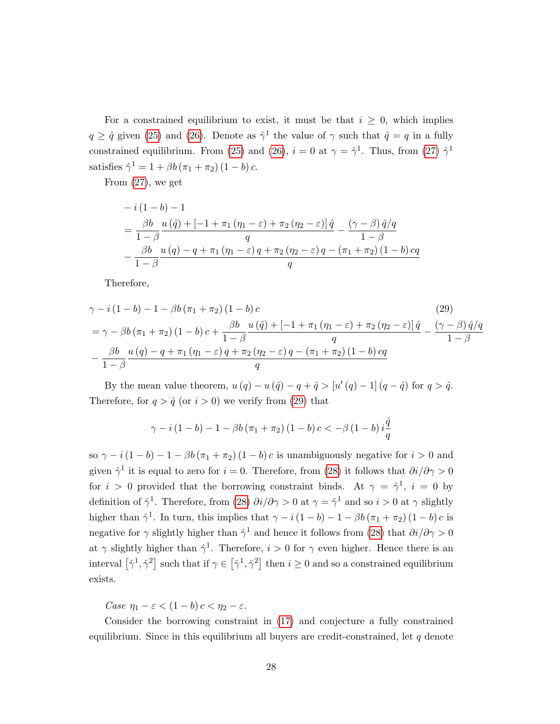For a constrained equilibrium to exist, it must be that  $i \geq 0$ , which implies  $q \geq \hat{q}$  given [\(25\)](#page-28-1) and [\(26\)](#page-28-2). Denote as  $\hat{\gamma}^1$  the value of  $\gamma$  such that  $\hat{q} = q$  in a fully constrained equilibrium. From [\(25\)](#page-28-1) and [\(26\)](#page-28-2),  $i = 0$  at  $\gamma = \hat{\gamma}^1$ . Thus, from [\(27\)](#page-28-0)  $\hat{\gamma}^1$ satisfies  $\hat{\gamma}^1 = 1 + \beta b (\pi_1 + \pi_2) (1 - b) c$ .

From [\(27\)](#page-28-0), we get

$$
-i(1-b) - 1
$$
  
=  $\frac{\beta b}{1-\beta} \frac{u(\hat{q}) + [-1 + \pi_1(\eta_1 - \varepsilon) + \pi_2(\eta_2 - \varepsilon)]\hat{q}}{q} - \frac{(\gamma - \beta)\hat{q}/q}{1-\beta}$   
-  $\frac{\beta b}{1-\beta} \frac{u(q) - q + \pi_1(\eta_1 - \varepsilon) + \pi_2(\eta_2 - \varepsilon) + \pi_2(\eta_1 + \pi_2)(1-b)cq}{q}$ 

Therefore,

$$
\gamma - i(1 - b) - 1 - \beta b (\pi_1 + \pi_2) (1 - b) c
$$
\n
$$
= \gamma - \beta b (\pi_1 + \pi_2) (1 - b) c + \frac{\beta b}{1 - \beta} \frac{u(\hat{q}) + [-1 + \pi_1 (\eta_1 - \varepsilon) + \pi_2 (\eta_2 - \varepsilon)] \hat{q}}{q} - \frac{(\gamma - \beta) \hat{q}/q}{1 - \beta}
$$
\n
$$
- \frac{\beta b}{1 - \beta} \frac{u(q) - q + \pi_1 (\eta_1 - \varepsilon) q + \pi_2 (\eta_2 - \varepsilon) q - (\pi_1 + \pi_2) (1 - b) c q}{q}
$$
\n(29)

By the mean value theorem,  $u(q) - u(\hat{q}) - q + \hat{q} > [u'(q) - 1](q - \hat{q})$  for  $q > \hat{q}$ . Therefore, for  $q > \hat{q}$  (or  $i > 0$ ) we verify from [\(29\)](#page-29-0) that

<span id="page-29-0"></span>
$$
\gamma - i (1 - b) - 1 - \beta b (\pi_1 + \pi_2) (1 - b) c < -\beta (1 - b) i \frac{\hat{q}}{q}
$$

so  $\gamma - i(1 - b) - 1 - \beta b(\pi_1 + \pi_2)(1 - b) c$  is unambiguously negative for  $i > 0$  and given  $\hat{\gamma}^1$  it is equal to zero for  $i = 0$ . Therefore, from [\(28\)](#page-28-3) it follows that  $\partial i/\partial \gamma > 0$ for  $i > 0$  provided that the borrowing constraint binds. At  $\gamma = \hat{\gamma}^1$ ,  $i = 0$  by definition of  $\hat{\gamma}^1$ . Therefore, from [\(28\)](#page-28-3)  $\partial i/\partial \gamma > 0$  at  $\gamma = \hat{\gamma}^1$  and so  $i > 0$  at  $\gamma$  slightly higher than  $\hat{\gamma}^1$ . In turn, this implies that  $\gamma - i(1 - b) - 1 - \beta b(\pi_1 + \pi_2)(1 - b)c$  is negative for  $\gamma$  slightly higher than  $\hat{\gamma}^1$  and hence it follows from [\(28\)](#page-28-3) that  $\partial i/\partial \gamma > 0$ at  $\gamma$  slightly higher than  $\hat{\gamma}^1$ . Therefore,  $i > 0$  for  $\gamma$  even higher. Hence there is an interval  $[\hat{\gamma}^1, \hat{\gamma}^2]$  such that if  $\gamma \in [\hat{\gamma}^1, \hat{\gamma}^2]$  then  $i \ge 0$  and so a constrained equilibrium exists.

Case  $\eta_1 - \varepsilon < (1 - b) c < \eta_2 - \varepsilon$ .

Consider the borrowing constraint in [\(17\)](#page-17-1) and conjecture a fully constrained equilibrium. Since in this equilibrium all buyers are credit-constrained, let  $q$  denote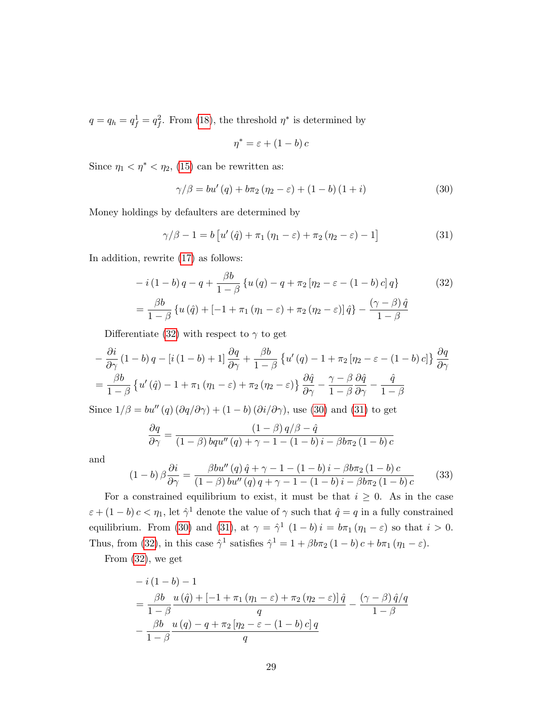$q = q_h = q_f^1 = q_f^2$ . From [\(18\)](#page-18-2), the threshold  $\eta^*$  is determined by

<span id="page-30-0"></span>
$$
\eta^* = \varepsilon + (1 - b) c
$$

Since  $\eta_1 < \eta^* < \eta_2$ , [\(15\)](#page-16-3) can be rewritten as:

<span id="page-30-1"></span>
$$
\gamma/\beta = bu'(q) + b\pi_2 (\eta_2 - \varepsilon) + (1 - b)(1 + i)
$$
\n(30)

Money holdings by defaulters are determined by

<span id="page-30-2"></span>
$$
\gamma/\beta - 1 = b \left[ u'(\hat{q}) + \pi_1 (\eta_1 - \varepsilon) + \pi_2 (\eta_2 - \varepsilon) - 1 \right]
$$
 (31)

In addition, rewrite [\(17\)](#page-17-1) as follows:

$$
-i(1-b)q - q + \frac{\beta b}{1-\beta} \{ u(q) - q + \pi_2 [\eta_2 - \varepsilon - (1-b)c] q \}
$$
(32)  

$$
= \frac{\beta b}{1-\beta} \{ u(\hat{q}) + [-1+\pi_1 (\eta_1 - \varepsilon) + \pi_2 (\eta_2 - \varepsilon)] \hat{q} \} - \frac{(\gamma - \beta) \hat{q}}{1-\beta}
$$

Differentiate [\(32\)](#page-30-0) with respect to  $\gamma$  to get

$$
-\frac{\partial i}{\partial \gamma} (1 - b) q - [i (1 - b) + 1] \frac{\partial q}{\partial \gamma} + \frac{\beta b}{1 - \beta} \{ u'(q) - 1 + \pi_2 [ \eta_2 - \varepsilon - (1 - b) c] \} \frac{\partial q}{\partial \gamma}
$$
  
=  $\frac{\beta b}{1 - \beta} \{ u'(q) - 1 + \pi_1 (\eta_1 - \varepsilon) + \pi_2 (\eta_2 - \varepsilon) \} \frac{\partial \hat{q}}{\partial \gamma} - \frac{\gamma - \beta}{1 - \beta} \frac{\partial \hat{q}}{\partial \gamma} - \frac{\hat{q}}{1 - \beta}$ 

Since  $1/\beta = bu''(q)(\partial q/\partial \gamma) + (1 - b)(\partial i/\partial \gamma)$ , use [\(30\)](#page-30-1) and [\(31\)](#page-30-2) to get

$$
\frac{\partial q}{\partial \gamma} = \frac{\left(1 - \beta\right) q/\beta - \hat{q}}{\left(1 - \beta\right) bq u''\left(q\right) + \gamma - 1 - \left(1 - b\right) i - \beta b \pi_2 \left(1 - b\right) c}
$$

and

<span id="page-30-3"></span>
$$
(1-b)\beta \frac{\partial i}{\partial \gamma} = \frac{\beta b u''(q)\hat{q} + \gamma - 1 - (1-b)i - \beta b \pi_2 (1-b)c}{(1-\beta) b u''(q)q + \gamma - 1 - (1-b)i - \beta b \pi_2 (1-b)c}
$$
(33)

For a constrained equilibrium to exist, it must be that  $i \geq 0$ . As in the case  $\varepsilon + (1 - b) c < \eta_1$ , let  $\hat{\gamma}^1$  denote the value of  $\gamma$  such that  $\hat{q} = q$  in a fully constrained equilibrium. From [\(30\)](#page-30-1) and [\(31\)](#page-30-2), at  $\gamma = \hat{\gamma}^1$   $(1 - b)i = b\pi_1 (\eta_1 - \varepsilon)$  so that  $i > 0$ . Thus, from [\(32\)](#page-30-0), in this case  $\hat{\gamma}^1$  satisfies  $\hat{\gamma}^1 = 1 + \beta b \pi_2 (1 - b) c + b \pi_1 (\eta_1 - \varepsilon)$ .

From [\(32\)](#page-30-0), we get

$$
-i(1-b) - 1
$$
  
=  $\frac{\beta b}{1-\beta} \frac{u(\hat{q}) + [-1 + \pi_1(\eta_1 - \varepsilon) + \pi_2(\eta_2 - \varepsilon)]\hat{q}}{q} - \frac{(\gamma - \beta)\hat{q}/q}{1-\beta}$   
-  $\frac{\beta b}{1-\beta} \frac{u(q) - q + \pi_2[\eta_2 - \varepsilon - (1-b)c]q}{q}$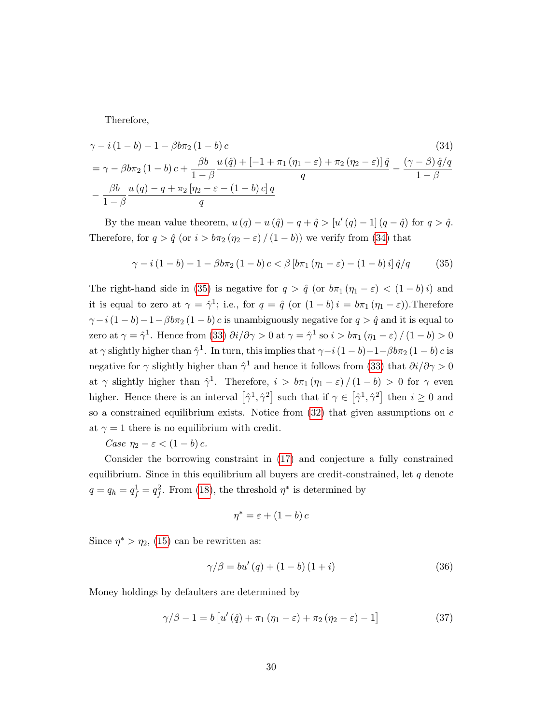Therefore,

$$
\gamma - i(1 - b) - 1 - \beta b \pi_2 (1 - b) c
$$
\n
$$
= \gamma - \beta b \pi_2 (1 - b) c + \frac{\beta b}{1 - \beta} \frac{u(\hat{q}) + [-1 + \pi_1 (\eta_1 - \varepsilon) + \pi_2 (\eta_2 - \varepsilon)] \hat{q}}{q} - \frac{(\gamma - \beta) \hat{q}/q}{1 - \beta}
$$
\n
$$
- \frac{\beta b}{1 - \beta} \frac{u(q) - q + \pi_2 [\eta_2 - \varepsilon - (1 - b) c] q}{q}
$$
\n(34)

By the mean value theorem,  $u(q) - u(\hat{q}) - q + \hat{q} > [u'(q) - 1](q - \hat{q})$  for  $q > \hat{q}$ . Therefore, for  $q > \hat{q}$  (or  $i > b\pi_2 (\eta_2 - \varepsilon) / (1 - b)$ ) we verify from [\(34\)](#page-31-0) that

<span id="page-31-1"></span><span id="page-31-0"></span>
$$
\gamma - i (1 - b) - 1 - \beta b \pi_2 (1 - b) c < \beta \left[ b \pi_1 (\eta_1 - \varepsilon) - (1 - b) i \right] \hat{q} / q \tag{35}
$$

The right-hand side in [\(35\)](#page-31-1) is negative for  $q > \hat{q}$  (or  $b\pi_1 (\eta_1 - \varepsilon) < (1 - b)i$ ) and it is equal to zero at  $\gamma = \hat{\gamma}^1$ ; i.e., for  $q = \hat{q}$  (or  $(1 - b)i = b\pi_1 (\eta_1 - \varepsilon)$ ). Therefore  $\gamma - i(1 - b) - 1 - \beta b \pi_2 (1 - b) c$  is unambiguously negative for  $q > \hat{q}$  and it is equal to zero at  $\gamma = \hat{\gamma}^1$ . Hence from [\(33\)](#page-30-3)  $\partial i/\partial \gamma > 0$  at  $\gamma = \hat{\gamma}^1$  so  $i > b\pi_1 (\eta_1 - \varepsilon) / (1 - b) > 0$ at  $\gamma$  slightly higher than  $\hat{\gamma}^1$ . In turn, this implies that  $\gamma - i(1 - b) - 1 - \beta b \pi_2 (1 - b) c$  is negative for  $\gamma$  slightly higher than  $\hat{\gamma}^1$  and hence it follows from [\(33\)](#page-30-3) that  $\partial i/\partial \gamma > 0$ at  $\gamma$  slightly higher than  $\hat{\gamma}^1$ . Therefore,  $i > b\pi_1 (\eta_1 - \varepsilon) / (1 - b) > 0$  for  $\gamma$  even higher. Hence there is an interval  $[\hat{\gamma}^1, \hat{\gamma}^2]$  such that if  $\gamma \in [\hat{\gamma}^1, \hat{\gamma}^2]$  then  $i \ge 0$  and so a constrained equilibrium exists. Notice from  $(32)$  that given assumptions on c at  $\gamma = 1$  there is no equilibrium with credit.

Case  $\eta_2 - \varepsilon < (1 - b) c$ .

Consider the borrowing constraint in [\(17\)](#page-17-1) and conjecture a fully constrained equilibrium. Since in this equilibrium all buyers are credit-constrained, let  $q$  denote  $q = q_h = q_f^1 = q_f^2$ . From [\(18\)](#page-18-2), the threshold  $\eta^*$  is determined by

$$
\eta^* = \varepsilon + (1 - b) c
$$

Since  $\eta^* > \eta_2$ , [\(15\)](#page-16-3) can be rewritten as:

<span id="page-31-2"></span>
$$
\gamma/\beta = bu'(q) + (1 - b)(1 + i)
$$
\n(36)

Money holdings by defaulters are determined by

<span id="page-31-3"></span>
$$
\gamma/\beta - 1 = b \left[ u' \left( \hat{q} \right) + \pi_1 \left( \eta_1 - \varepsilon \right) + \pi_2 \left( \eta_2 - \varepsilon \right) - 1 \right] \tag{37}
$$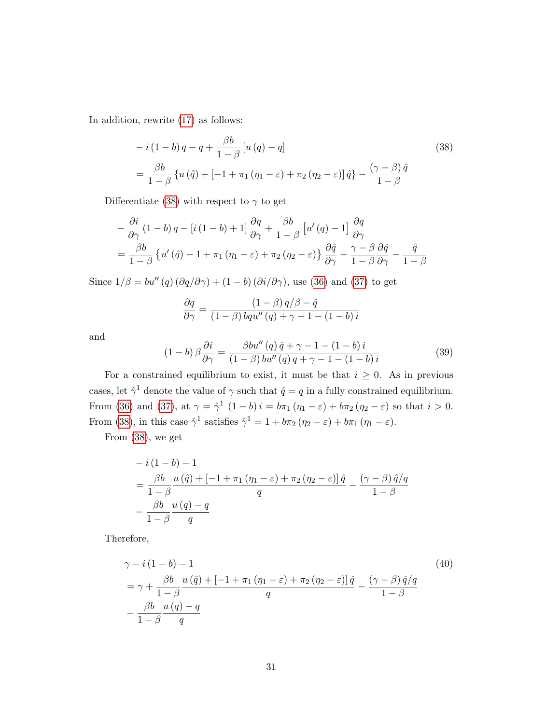In addition, rewrite [\(17\)](#page-17-1) as follows:

<span id="page-32-0"></span>
$$
-i(1-b)q - q + \frac{\beta b}{1-\beta} [u(q) - q]
$$
\n
$$
= \frac{\beta b}{1-\beta} \{u(\hat{q}) + [-1+\pi_1(\eta_1-\varepsilon)+\pi_2(\eta_2-\varepsilon)]\hat{q}\} - \frac{(\gamma-\beta)\hat{q}}{1-\beta}
$$
\n(38)

Differentiate [\(38\)](#page-32-0) with respect to  $\gamma$  to get

$$
-\frac{\partial i}{\partial \gamma} (1 - b) q - [i (1 - b) + 1] \frac{\partial q}{\partial \gamma} + \frac{\beta b}{1 - \beta} [u'(q) - 1] \frac{\partial q}{\partial \gamma}
$$
  
=  $\frac{\beta b}{1 - \beta} \left\{ u'(q) - 1 + \pi_1 (\eta_1 - \varepsilon) + \pi_2 (\eta_2 - \varepsilon) \right\} \frac{\partial \hat{q}}{\partial \gamma} - \frac{\gamma - \beta}{1 - \beta} \frac{\partial \hat{q}}{\partial \gamma} - \frac{\hat{q}}{1 - \beta}$ 

Since  $1/\beta = bu''(q) (\partial q/\partial \gamma) + (1 - b) (\partial i/\partial \gamma)$ , use [\(36\)](#page-31-2) and [\(37\)](#page-31-3) to get

$$
\frac{\partial q}{\partial \gamma} = \frac{(1-\beta) q/\beta - \hat{q}}{(1-\beta) bqu''(q) + \gamma - 1 - (1-b)i}
$$

and

<span id="page-32-2"></span>
$$
(1-b)\beta \frac{\partial i}{\partial \gamma} = \frac{\beta bu''(q)\hat{q} + \gamma - 1 - (1-b)i}{(1-\beta)bu''(q)q + \gamma - 1 - (1-b)i}
$$
(39)

For a constrained equilibrium to exist, it must be that  $i \geq 0$ . As in previous cases, let  $\hat{\gamma}^1$  denote the value of  $\gamma$  such that  $\hat{q} = q$  in a fully constrained equilibrium. From [\(36\)](#page-31-2) and [\(37\)](#page-31-3), at  $\gamma = \hat{\gamma}^1 (1 - b)i = b\pi_1 (\eta_1 - \varepsilon) + b\pi_2 (\eta_2 - \varepsilon)$  so that  $i > 0$ . From [\(38\)](#page-32-0), in this case  $\hat{\gamma}^1$  satisfies  $\hat{\gamma}^1 = 1 + b\pi_2 (\eta_2 - \varepsilon) + b\pi_1 (\eta_1 - \varepsilon)$ .

From [\(38\)](#page-32-0), we get

$$
-i(1-b) - 1
$$
  
=  $\frac{\beta b}{1-\beta} \frac{u(\hat{q}) + [-1 + \pi_1(\eta_1 - \varepsilon) + \pi_2(\eta_2 - \varepsilon)]\hat{q}}{q} - \frac{(\gamma - \beta)\hat{q}/q}{1-\beta}$   
-  $\frac{\beta b}{1-\beta} \frac{u(q) - q}{q}$ 

Therefore,

<span id="page-32-1"></span>
$$
\gamma - i(1 - b) - 1
$$
\n
$$
= \gamma + \frac{\beta b}{1 - \beta} \frac{u(\hat{q}) + [-1 + \pi_1(\eta_1 - \varepsilon) + \pi_2(\eta_2 - \varepsilon)]\hat{q}}{q} - \frac{(\gamma - \beta)\hat{q}/q}{1 - \beta}
$$
\n
$$
- \frac{\beta b}{1 - \beta} \frac{u(q) - q}{q}
$$
\n(40)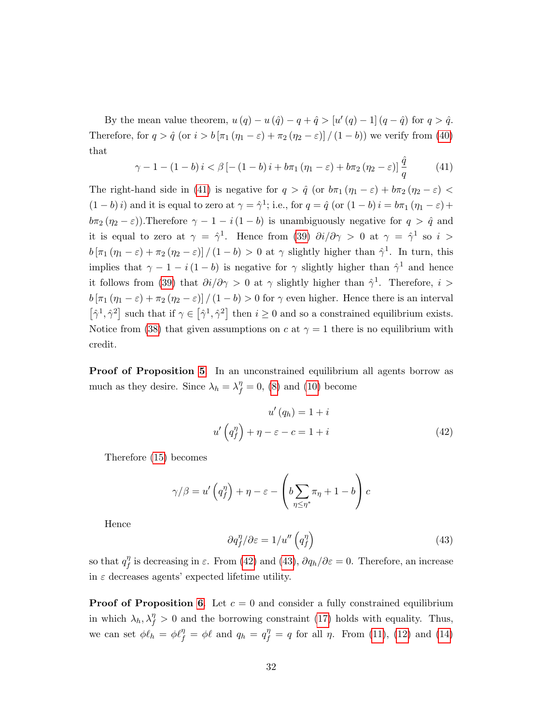By the mean value theorem,  $u(q) - u(\hat{q}) - q + \hat{q} > [u'(q) - 1](q - \hat{q})$  for  $q > \hat{q}$ . Therefore, for  $q > \hat{q}$  (or  $i > b \left[ \pi_1 (\eta_1 - \varepsilon) + \pi_2 (\eta_2 - \varepsilon) \right] / (1 - b)$ ) we verify from [\(40\)](#page-32-1) that

<span id="page-33-0"></span>
$$
\gamma - 1 - (1 - b)i < \beta \left[ - (1 - b)i + b\pi_1 \left( \eta_1 - \varepsilon \right) + b\pi_2 \left( \eta_2 - \varepsilon \right) \right] \frac{\hat{q}}{q} \tag{41}
$$

The right-hand side in [\(41\)](#page-33-0) is negative for  $q > \hat{q}$  (or  $b\pi_1(\eta_1 - \varepsilon) + b\pi_2(\eta_2 - \varepsilon)$  $(1-b)i$  and it is equal to zero at  $\gamma = \hat{\gamma}^1$ ; i.e., for  $q = \hat{q}$  (or  $(1-b)i = b\pi_1(\eta_1 - \varepsilon) +$  $b\pi_2 (\eta_2 - \varepsilon)$ . Therefore  $\gamma - 1 - i(1 - b)$  is unambiguously negative for  $q > \hat{q}$  and it is equal to zero at  $\gamma = \hat{\gamma}^1$ . Hence from [\(39\)](#page-32-2)  $\partial i/\partial \gamma > 0$  at  $\gamma = \hat{\gamma}^1$  so  $i >$  $b \left[\pi_1 (\eta_1 - \varepsilon) + \pi_2 (\eta_2 - \varepsilon)\right] / (1 - b) > 0$  at  $\gamma$  slightly higher than  $\hat{\gamma}^1$ . In turn, this implies that  $\gamma - 1 - i(1 - b)$  is negative for  $\gamma$  slightly higher than  $\hat{\gamma}^1$  and hence it follows from [\(39\)](#page-32-2) that  $\partial i/\partial \gamma > 0$  at  $\gamma$  slightly higher than  $\hat{\gamma}^1$ . Therefore,  $i >$  $b [\pi_1 (\eta_1 - \varepsilon) + \pi_2 (\eta_2 - \varepsilon)] / (1 - b) > 0$  for  $\gamma$  even higher. Hence there is an interval  $[\hat{\gamma}^1, \hat{\gamma}^2]$  such that if  $\gamma \in [\hat{\gamma}^1, \hat{\gamma}^2]$  then  $i \ge 0$  and so a constrained equilibrium exists. Notice from [\(38\)](#page-32-0) that given assumptions on c at  $\gamma = 1$  there is no equilibrium with credit.

Proof of Proposition [5](#page-19-3). In an unconstrained equilibrium all agents borrow as much as they desire. Since  $\lambda_h = \lambda_f^{\eta} = 0$ , [\(8\)](#page-15-2) and [\(10\)](#page-15-3) become

<span id="page-33-1"></span>
$$
u'(q_h) = 1 + i
$$
  

$$
u'\left(q_f^{\eta}\right) + \eta - \varepsilon - c = 1 + i
$$
 (42)

Therefore [\(15\)](#page-16-3) becomes

$$
\gamma/\beta = u' \left( q_f^{\eta} \right) + \eta - \varepsilon - \left( b \sum_{\eta \le \eta^*} \pi_{\eta} + 1 - b \right) c
$$

Hence

<span id="page-33-2"></span>
$$
\partial q_f^{\eta}/\partial \varepsilon = 1/u'' \left( q_f^{\eta} \right) \tag{43}
$$

so that  $q_f^{\eta}$ <sup>η</sup> is decreasing in  $\varepsilon$ . From [\(42\)](#page-33-1) and [\(43\)](#page-33-2),  $\partial q_h/\partial \varepsilon = 0$ . Therefore, an increase in  $\varepsilon$  decreases agents' expected lifetime utility.

**Proof of Proposition [6](#page-20-0).** Let  $c = 0$  and consider a fully constrained equilibrium in which  $\lambda_h, \lambda_f^{\eta} > 0$  and the borrowing constraint [\(17\)](#page-17-1) holds with equality. Thus, we can set  $\phi \ell_h = \phi \ell_f^{\eta} = \phi \ell$  and  $q_h = q_f^{\eta} = q$  for all  $\eta$ . From [\(11\)](#page-15-0), [\(12\)](#page-16-0) and [\(14\)](#page-16-2)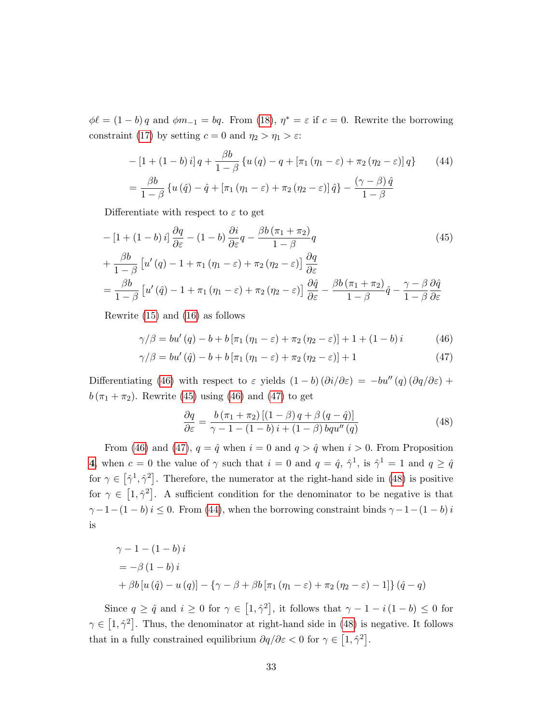$\phi \ell = (1 - b) q$  and  $\phi m_{-1} = bq$ . From [\(18\)](#page-18-2),  $\eta^* = \varepsilon$  if  $c = 0$ . Rewrite the borrowing constraint [\(17\)](#page-17-1) by setting  $c = 0$  and  $\eta_2 > \eta_1 > \varepsilon$ :

<span id="page-34-4"></span>
$$
-[1+(1-b)i]q + \frac{\beta b}{1-\beta} \{u(q) - q + [\pi_1(\eta_1-\varepsilon) + \pi_2(\eta_2-\varepsilon)]q\}
$$
(44)  

$$
= \frac{\beta b}{1-\beta} \{u(\hat{q}) - \hat{q} + [\pi_1(\eta_1-\varepsilon) + \pi_2(\eta_2-\varepsilon)]\hat{q}\} - \frac{(\gamma-\beta)\hat{q}}{1-\beta}
$$

Differentiate with respect to  $\varepsilon$  to get

$$
- [1 + (1 - b) i] \frac{\partial q}{\partial \varepsilon} - (1 - b) \frac{\partial i}{\partial \varepsilon} q - \frac{\beta b (\pi_1 + \pi_2)}{1 - \beta} q
$$
(45)  
+ 
$$
\frac{\beta b}{1 - \beta} [u'(q) - 1 + \pi_1 (\eta_1 - \varepsilon) + \pi_2 (\eta_2 - \varepsilon)] \frac{\partial q}{\partial \varepsilon}
$$
  
= 
$$
\frac{\beta b}{1 - \beta} [u'(q) - 1 + \pi_1 (\eta_1 - \varepsilon) + \pi_2 (\eta_2 - \varepsilon)] \frac{\partial \hat{q}}{\partial \varepsilon} - \frac{\beta b (\pi_1 + \pi_2)}{1 - \beta} \hat{q} - \frac{\gamma - \beta}{1 - \beta} \frac{\partial \hat{q}}{\partial \varepsilon}
$$

Rewrite [\(15\)](#page-16-3) and [\(16\)](#page-17-2) as follows

$$
\gamma/\beta = bu'(q) - b + b[\pi_1(\eta_1 - \varepsilon) + \pi_2(\eta_2 - \varepsilon)] + 1 + (1 - b)i \tag{46}
$$

$$
\gamma/\beta = bu'\left(\hat{q}\right) - b + b\left[\pi_1\left(\eta_1 - \varepsilon\right) + \pi_2\left(\eta_2 - \varepsilon\right)\right] + 1\tag{47}
$$

Differentiating [\(46\)](#page-34-0) with respect to  $\varepsilon$  yields  $(1-b)(\partial i/\partial \varepsilon) = -bu''(q)(\partial q/\partial \varepsilon) +$  $b (\pi_1 + \pi_2)$ . Rewrite [\(45\)](#page-34-1) using [\(46\)](#page-34-0) and [\(47\)](#page-34-2) to get

<span id="page-34-3"></span><span id="page-34-2"></span><span id="page-34-1"></span><span id="page-34-0"></span>
$$
\frac{\partial q}{\partial \varepsilon} = \frac{b\left(\pi_1 + \pi_2\right) \left[ (1-\beta)q + \beta\left(q - \hat{q}\right) \right]}{\gamma - 1 - (1-b)i + (1-\beta) bqu''(q)}\tag{48}
$$

From [\(46\)](#page-34-0) and [\(47\)](#page-34-2),  $q = \hat{q}$  when  $i = 0$  and  $q > \hat{q}$  when  $i > 0$ . From Proposition [4](#page-19-2), when  $c = 0$  the value of  $\gamma$  such that  $i = 0$  and  $q = \hat{q}$ ,  $\hat{\gamma}^1$ , is  $\hat{\gamma}^1 = 1$  and  $q \ge \hat{q}$ for  $\gamma \in \left[\hat{\gamma}^1, \hat{\gamma}^2\right]$ . Therefore, the numerator at the right-hand side in [\(48\)](#page-34-3) is positive for  $\gamma \in [1, \hat{\gamma}^2]$ . A sufficient condition for the denominator to be negative is that  $\gamma -1-(1-b)$  i  $\leq 0$ . From [\(44\)](#page-34-4), when the borrowing constraint binds  $\gamma -1-(1-b)$  i is

$$
\gamma - 1 - (1 - b)i \n= -\beta (1 - b)i \n+ \beta b [u (\hat{q}) - u (q)] - \{\gamma - \beta + \beta b [\pi_1 (\eta_1 - \varepsilon) + \pi_2 (\eta_2 - \varepsilon) - 1] \} (\hat{q} - q)
$$

Since  $q \geq \hat{q}$  and  $i \geq 0$  for  $\gamma \in [1, \hat{\gamma}^2]$ , it follows that  $\gamma - 1 - i(1 - b) \leq 0$  for  $\gamma \in [1, \hat{\gamma}^2]$ . Thus, the denominator at right-hand side in [\(48\)](#page-34-3) is negative. It follows that in a fully constrained equilibrium  $\partial q/\partial \varepsilon < 0$  for  $\gamma \in [1, \hat{\gamma}^2]$ .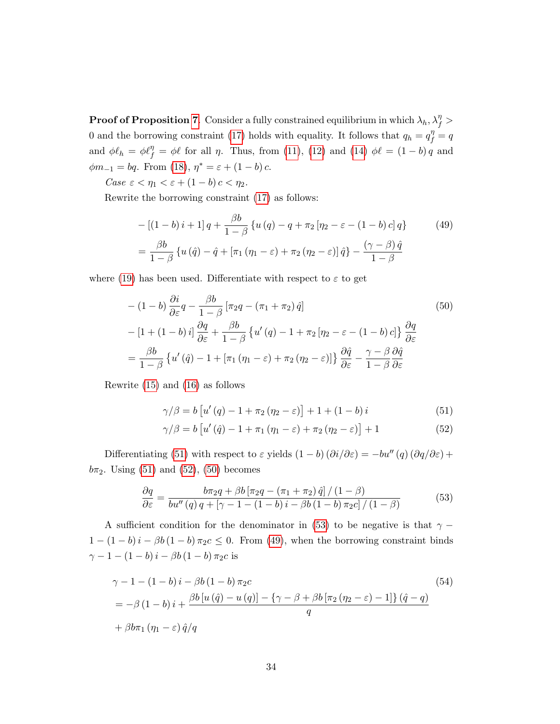**Proof of Proposition [7](#page-20-1).** Consider a fully constrained equilibrium in which  $\lambda_h, \lambda_f^{\eta} >$ 0 and the borrowing constraint [\(17\)](#page-17-1) holds with equality. It follows that  $q_h = q_f^{\eta} = q$ and  $\phi \ell_h = \phi \ell_f^{\eta} = \phi \ell$  for all  $\eta$ . Thus, from [\(11\)](#page-15-0), [\(12\)](#page-16-0) and [\(14\)](#page-16-2)  $\phi \ell = (1 - b) q$  and  $\phi m_{-1} = bq$ . From [\(18\)](#page-18-2),  $\eta^* = \varepsilon + (1 - b) c$ .

Case  $\varepsilon < \eta_1 < \varepsilon + (1 - b) c < \eta_2$ .

Rewrite the borrowing constraint [\(17\)](#page-17-1) as follows:

<span id="page-35-4"></span>
$$
-[(1-b)i+1]q + \frac{\beta b}{1-\beta} \{u(q) - q + \pi_2 [\eta_2 - \varepsilon - (1-b)c] q\}
$$
(49)  

$$
= \frac{\beta b}{1-\beta} \{u(\hat{q}) - \hat{q} + [\pi_1 (\eta_1 - \varepsilon) + \pi_2 (\eta_2 - \varepsilon)] \hat{q}\} - \frac{(\gamma - \beta) \hat{q}}{1-\beta}
$$

where [\(19\)](#page-18-0) has been used. Differentiate with respect to  $\varepsilon$  to get

$$
-(1-b)\frac{\partial i}{\partial \varepsilon}q - \frac{\beta b}{1-\beta} \left[\pi_2 q - (\pi_1 + \pi_2) \hat{q}\right]
$$
(50)  

$$
-\left[1 + (1-b)i\right] \frac{\partial q}{\partial \varepsilon} + \frac{\beta b}{1-\beta} \left\{u'(q) - 1 + \pi_2 \left[\eta_2 - \varepsilon - (1-b)c\right]\right\} \frac{\partial q}{\partial \varepsilon}
$$

$$
= \frac{\beta b}{1-\beta} \left\{u'(q) - 1 + \left[\pi_1 \left(\eta_1 - \varepsilon\right) + \pi_2 \left(\eta_2 - \varepsilon\right)\right]\right\} \frac{\partial \hat{q}}{\partial \varepsilon} - \frac{\gamma - \beta}{1-\beta} \frac{\partial \hat{q}}{\partial \varepsilon}
$$

Rewrite [\(15\)](#page-16-3) and [\(16\)](#page-17-2) as follows

<span id="page-35-2"></span><span id="page-35-1"></span><span id="page-35-0"></span>
$$
\gamma/\beta = b \left[ u' \left( q \right) - 1 + \pi_2 \left( \eta_2 - \varepsilon \right) \right] + 1 + (1 - b)i \tag{51}
$$

$$
\gamma/\beta = b \left[ u'(\hat{q}) - 1 + \pi_1 (\eta_1 - \varepsilon) + \pi_2 (\eta_2 - \varepsilon) \right] + 1 \tag{52}
$$

Differentiating [\(51\)](#page-35-0) with respect to  $\varepsilon$  yields  $(1 - b)(\partial i/\partial \varepsilon) = -bu''(q)(\partial q/\partial \varepsilon) +$  $b\pi_2$ . Using [\(51\)](#page-35-0) and [\(52\)](#page-35-1), [\(50\)](#page-35-2) becomes

<span id="page-35-5"></span><span id="page-35-3"></span>
$$
\frac{\partial q}{\partial \varepsilon} = \frac{b\pi_2 q + \beta b \left[ \pi_2 q - (\pi_1 + \pi_2) \hat{q} \right] / (1 - \beta)}{b u'' \left( q \right) q + \left[ \gamma - 1 - (1 - b) i - \beta b \left( 1 - b \right) \pi_2 c \right] / (1 - \beta)} \tag{53}
$$

A sufficient condition for the denominator in [\(53\)](#page-35-3) to be negative is that  $\gamma$  −  $1 - (1 - b)i - \beta b (1 - b) \pi_2 c \leq 0$ . From [\(49\)](#page-35-4), when the borrowing constraint binds  $γ - 1 - (1 - b)i - βb (1 - b) π<sub>2</sub>c$  is

$$
\gamma - 1 - (1 - b)i - \beta b (1 - b) \pi_2 c
$$
\n
$$
= -\beta (1 - b)i + \frac{\beta b [u(\hat{q}) - u(q)] - \{\gamma - \beta + \beta b [\pi_2 (\eta_2 - \varepsilon) - 1]\} (\hat{q} - q)}{q}
$$
\n
$$
+ \beta b \pi_1 (\eta_1 - \varepsilon) \hat{q}/q
$$
\n(54)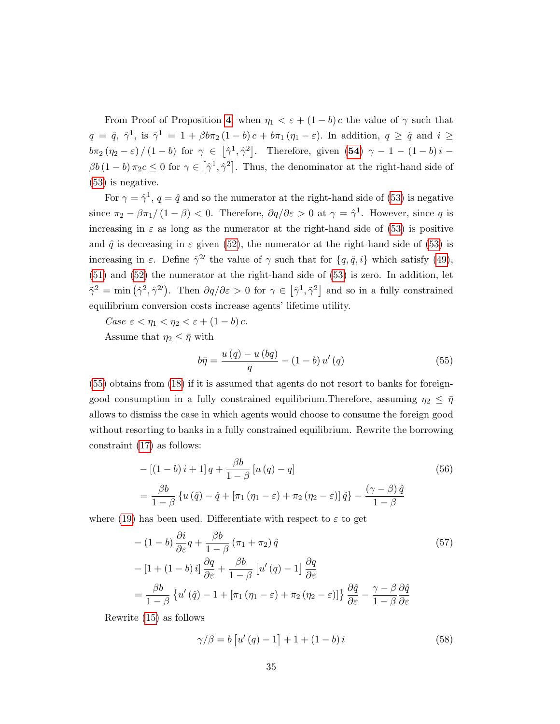From Proof of Proposition [4](#page-19-2), when  $\eta_1 < \varepsilon + (1-b)c$  the value of  $\gamma$  such that  $q = \hat{q}, \hat{\gamma}^1$ , is  $\hat{\gamma}^1 = 1 + \beta b \pi_2 (1 - b) c + b \pi_1 (\eta_1 - \varepsilon)$ . In addition,  $q \geq \hat{q}$  and  $i \geq$  $b\pi_2(\eta_2-\varepsilon)/(1-b)$  for  $\gamma \in [\hat{\gamma}^1,\hat{\gamma}^2]$ . Therefore, given  $(54)$  $(54)$  $(54)$   $\gamma-1-(1-b)i$  –  $\beta b (1 - b) \pi_2 c \leq 0$  for  $\gamma \in [\hat{\gamma}^1, \hat{\gamma}^2]$ . Thus, the denominator at the right-hand side of [\(53\)](#page-35-3) is negative.

For  $\gamma = \hat{\gamma}^1$ ,  $q = \hat{q}$  and so the numerator at the right-hand side of [\(53\)](#page-35-3) is negative since  $\pi_2 - \beta \pi_1 / (1 - \beta) < 0$ . Therefore,  $\partial q / \partial \varepsilon > 0$  at  $\gamma = \hat{\gamma}^1$ . However, since q is increasing in  $\varepsilon$  as long as the numerator at the right-hand side of [\(53\)](#page-35-3) is positive and  $\hat{q}$  is decreasing in  $\varepsilon$  given [\(52\)](#page-35-1), the numerator at the right-hand side of [\(53\)](#page-35-3) is increasing in  $\varepsilon$ . Define  $\hat{\gamma}^{2\prime}$  the value of  $\gamma$  such that for  $\{q, \hat{q}, i\}$  which satisfy [\(49\)](#page-35-4), [\(51\)](#page-35-0) and [\(52\)](#page-35-1) the numerator at the right-hand side of [\(53\)](#page-35-3) is zero. In addition, let  $\tilde{\gamma}^2 = \min(\hat{\gamma}^2, \hat{\gamma}^2)$ . Then  $\partial q/\partial \varepsilon > 0$  for  $\gamma \in [\hat{\gamma}^1, \tilde{\gamma}^2]$  and so in a fully constrained equilibrium conversion costs increase agents' lifetime utility.

Case  $\varepsilon < \eta_1 < \eta_2 < \varepsilon + (1-b)c$ .

Assume that  $\eta_2 \leq \bar{\eta}$  with

<span id="page-36-3"></span><span id="page-36-0"></span>
$$
b\bar{\eta} = \frac{u(q) - u(bq)}{q} - (1 - b) u'(q) \tag{55}
$$

[\(55\)](#page-36-0) obtains from [\(18\)](#page-18-2) if it is assumed that agents do not resort to banks for foreigngood consumption in a fully constrained equilibrium. Therefore, assuming  $\eta_2 \leq \bar{\eta}$ allows to dismiss the case in which agents would choose to consume the foreign good without resorting to banks in a fully constrained equilibrium. Rewrite the borrowing constraint [\(17\)](#page-17-1) as follows:

$$
-[(1-b)i+1]q + \frac{\beta b}{1-\beta} [u(q) - q]
$$
  
= 
$$
\frac{\beta b}{1-\beta} \{u(\hat{q}) - \hat{q} + [\pi_1(\eta_1 - \varepsilon) + \pi_2(\eta_2 - \varepsilon)]\hat{q}\} - \frac{(\gamma - \beta)\hat{q}}{1-\beta}
$$
 (56)

where [\(19\)](#page-18-0) has been used. Differentiate with respect to  $\varepsilon$  to get

$$
-(1-b)\frac{\partial i}{\partial \varepsilon}q + \frac{\beta b}{1-\beta}(\pi_1 + \pi_2)\hat{q}
$$
\n
$$
-[1+(1-b)i]\frac{\partial q}{\partial \varepsilon} + \frac{\beta b}{1-\beta} [u'(q) - 1]\frac{\partial q}{\partial \varepsilon}
$$
\n
$$
= \frac{\beta b}{1-\beta} \{u'(q) - 1 + [\pi_1(\eta_1 - \varepsilon) + \pi_2(\eta_2 - \varepsilon)]\} \frac{\partial \hat{q}}{\partial \varepsilon} - \frac{\gamma - \beta}{1-\beta} \frac{\partial \hat{q}}{\partial \varepsilon}
$$
\n(57)

Rewrite [\(15\)](#page-16-3) as follows

<span id="page-36-2"></span><span id="page-36-1"></span>
$$
\gamma/\beta = b [u' (q) - 1] + 1 + (1 - b) i \tag{58}
$$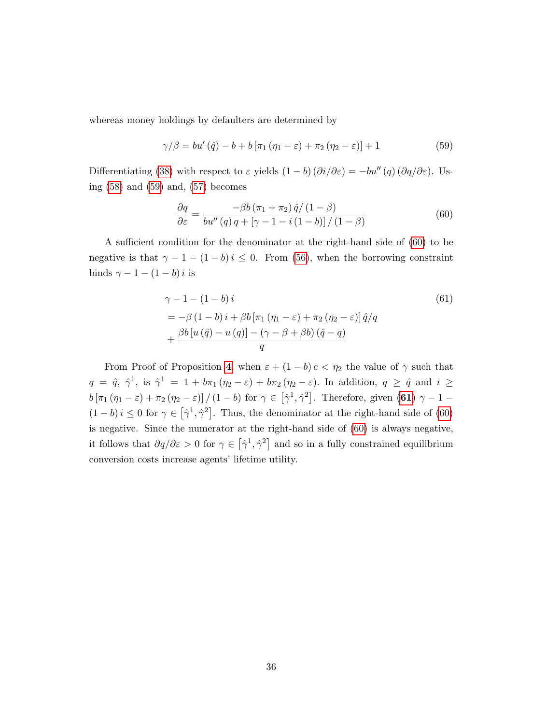whereas money holdings by defaulters are determined by

<span id="page-37-0"></span>
$$
\gamma/\beta = bu'\left(\hat{q}\right) - b + b\left[\pi_1\left(\eta_1 - \varepsilon\right) + \pi_2\left(\eta_2 - \varepsilon\right)\right] + 1\tag{59}
$$

Differentiating [\(38\)](#page-32-0) with respect to  $\varepsilon$  yields  $(1 - b) (\partial i/\partial \varepsilon) = -bu''(q) (\partial q/\partial \varepsilon)$ . Using  $(58)$  and  $(59)$  and,  $(57)$  becomes

<span id="page-37-1"></span>
$$
\frac{\partial q}{\partial \varepsilon} = \frac{-\beta b \left(\pi_1 + \pi_2\right) \hat{q} / \left(1 - \beta\right)}{b u'' \left(q\right) q + \left[\gamma - 1 - i \left(1 - b\right)\right] / \left(1 - \beta\right)}\tag{60}
$$

A sufficient condition for the denominator at the right-hand side of [\(60\)](#page-37-1) to be negative is that  $\gamma - 1 - (1 - b)i \leq 0$ . From [\(56\)](#page-36-3), when the borrowing constraint binds  $\gamma - 1 - (1 - b)i$  is

<span id="page-37-2"></span>
$$
\gamma - 1 - (1 - b)i
$$
  
=  $-\beta (1 - b)i + \beta b [\pi_1 (\eta_1 - \varepsilon) + \pi_2 (\eta_2 - \varepsilon)] \hat{q}/q$   
+  $\frac{\beta b [u (\hat{q}) - u (q)] - (\gamma - \beta + \beta b) (\hat{q} - q)}{q}$  (61)

From Proof of Proposition [4](#page-19-2), when  $\varepsilon + (1 - b)c < \eta_2$  the value of  $\gamma$  such that  $q = \hat{q}, \hat{\gamma}^1$ , is  $\hat{\gamma}^1 = 1 + b\pi_1 (\eta_2 - \varepsilon) + b\pi_2 (\eta_2 - \varepsilon)$ . In addition,  $q \geq \hat{q}$  and  $i \geq$  $b\left[\pi_1\left(\eta_1-\varepsilon\right)+\pi_2\left(\eta_2-\varepsilon\right)\right]/(1-b)$  for  $\gamma\in\left[\hat{\gamma}^1,\hat{\gamma}^2\right]$ . Therefore, given  $(61)\gamma-1 (61)\gamma-1 (61)\gamma-1 (1-b)$  i  $\leq 0$  for  $\gamma \in [\hat{\gamma}^1, \hat{\gamma}^2]$ . Thus, the denominator at the right-hand side of [\(60\)](#page-37-1) is negative. Since the numerator at the right-hand side of [\(60\)](#page-37-1) is always negative, it follows that  $\partial q/\partial \varepsilon > 0$  for  $\gamma \in [\hat{\gamma}^1, \hat{\gamma}^2]$  and so in a fully constrained equilibrium conversion costs increase agents' lifetime utility.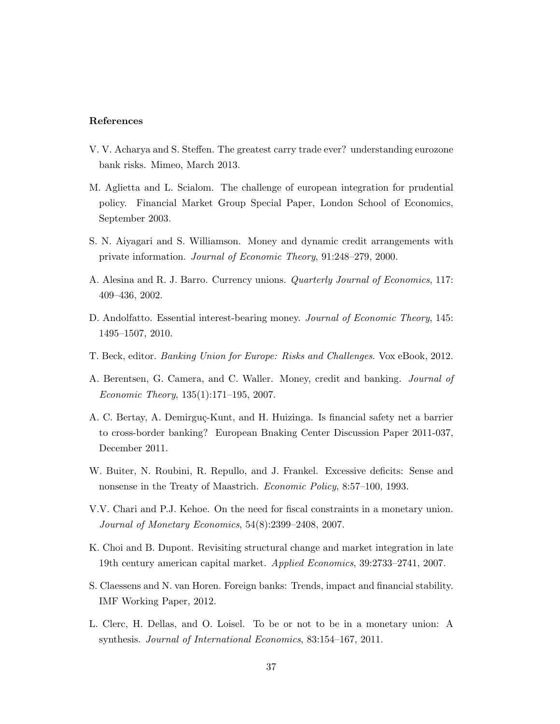# References

- <span id="page-38-6"></span>V. V. Acharya and S. Steffen. The greatest carry trade ever? understanding eurozone bank risks. Mimeo, March 2013.
- <span id="page-38-1"></span>M. Aglietta and L. Scialom. The challenge of european integration for prudential policy. Financial Market Group Special Paper, London School of Economics, September 2003.
- <span id="page-38-8"></span>S. N. Aiyagari and S. Williamson. Money and dynamic credit arrangements with private information. Journal of Economic Theory, 91:248–279, 2000.
- <span id="page-38-9"></span>A. Alesina and R. J. Barro. Currency unions. *Quarterly Journal of Economics*, 117: 409–436, 2002.
- <span id="page-38-7"></span>D. Andolfatto. Essential interest-bearing money. Journal of Economic Theory, 145: 1495–1507, 2010.
- <span id="page-38-0"></span>T. Beck, editor. Banking Union for Europe: Risks and Challenges. Vox eBook, 2012.
- <span id="page-38-3"></span>A. Berentsen, G. Camera, and C. Waller. Money, credit and banking. Journal of Economic Theory, 135(1):171–195, 2007.
- <span id="page-38-2"></span>A. C. Bertay, A. Demirguç-Kunt, and H. Huizinga. Is financial safety net a barrier to cross-border banking? European Bnaking Center Discussion Paper 2011-037, December 2011.
- <span id="page-38-11"></span>W. Buiter, N. Roubini, R. Repullo, and J. Frankel. Excessive deficits: Sense and nonsense in the Treaty of Maastrich. Economic Policy, 8:57–100, 1993.
- <span id="page-38-12"></span>V.V. Chari and P.J. Kehoe. On the need for fiscal constraints in a monetary union. Journal of Monetary Economics, 54(8):2399–2408, 2007.
- <span id="page-38-4"></span>K. Choi and B. Dupont. Revisiting structural change and market integration in late 19th century american capital market. Applied Economics, 39:2733–2741, 2007.
- <span id="page-38-5"></span>S. Claessens and N. van Horen. Foreign banks: Trends, impact and financial stability. IMF Working Paper, 2012.
- <span id="page-38-10"></span>L. Clerc, H. Dellas, and O. Loisel. To be or not to be in a monetary union: A synthesis. Journal of International Economics, 83:154–167, 2011.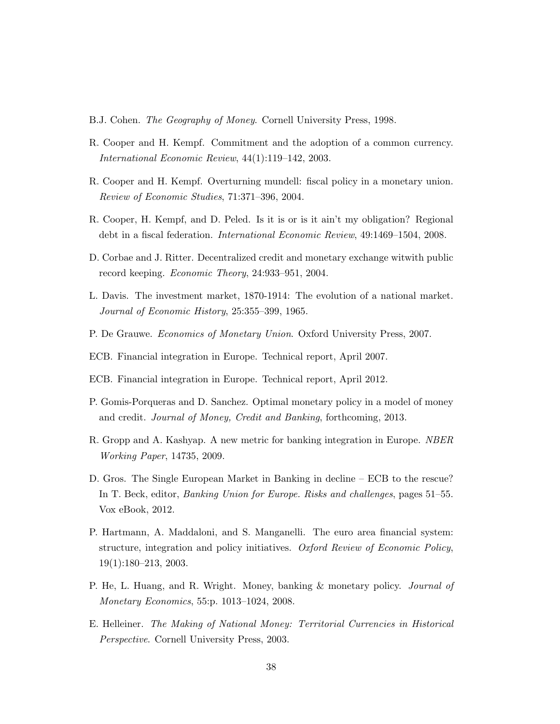- <span id="page-39-13"></span>B.J. Cohen. The Geography of Money. Cornell University Press, 1998.
- <span id="page-39-10"></span>R. Cooper and H. Kempf. Commitment and the adoption of a common currency. International Economic Review, 44(1):119–142, 2003.
- <span id="page-39-11"></span>R. Cooper and H. Kempf. Overturning mundell: fiscal policy in a monetary union. Review of Economic Studies, 71:371–396, 2004.
- <span id="page-39-12"></span>R. Cooper, H. Kempf, and D. Peled. Is it is or is it ain't my obligation? Regional debt in a fiscal federation. International Economic Review, 49:1469–1504, 2008.
- <span id="page-39-7"></span>D. Corbae and J. Ritter. Decentralized credit and monetary exchange witwith public record keeping. Economic Theory, 24:933–951, 2004.
- <span id="page-39-1"></span>L. Davis. The investment market, 1870-1914: The evolution of a national market. Journal of Economic History, 25:355-399, 1965.
- <span id="page-39-9"></span>P. De Grauwe. Economics of Monetary Union. Oxford University Press, 2007.
- <span id="page-39-4"></span>ECB. Financial integration in Europe. Technical report, April 2007.
- <span id="page-39-2"></span>ECB. Financial integration in Europe. Technical report, April 2012.
- <span id="page-39-8"></span>P. Gomis-Porqueras and D. Sanchez. Optimal monetary policy in a model of money and credit. Journal of Money, Credit and Banking, forthcoming, 2013.
- <span id="page-39-5"></span>R. Gropp and A. Kashyap. A new metric for banking integration in Europe. NBER Working Paper, 14735, 2009.
- <span id="page-39-0"></span>D. Gros. The Single European Market in Banking in decline – ECB to the rescue? In T. Beck, editor, Banking Union for Europe. Risks and challenges, pages 51–55. Vox eBook, 2012.
- <span id="page-39-3"></span>P. Hartmann, A. Maddaloni, and S. Manganelli. The euro area financial system: structure, integration and policy initiatives. Oxford Review of Economic Policy, 19(1):180–213, 2003.
- <span id="page-39-6"></span>P. He, L. Huang, and R. Wright. Money, banking & monetary policy. Journal of Monetary Economics, 55:p. 1013–1024, 2008.
- <span id="page-39-14"></span>E. Helleiner. The Making of National Money: Territorial Currencies in Historical Perspective. Cornell University Press, 2003.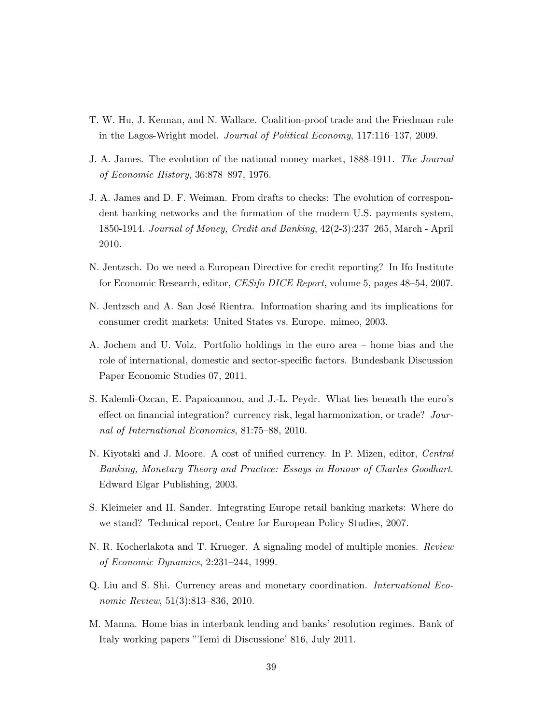- <span id="page-40-8"></span>T. W. Hu, J. Kennan, and N. Wallace. Coalition-proof trade and the Friedman rule in the Lagos-Wright model. Journal of Political Economy, 117:116–137, 2009.
- <span id="page-40-6"></span>J. A. James. The evolution of the national money market, 1888-1911. The Journal of Economic History, 36:878–897, 1976.
- <span id="page-40-5"></span>J. A. James and D. F. Weiman. From drafts to checks: The evolution of correspondent banking networks and the formation of the modern U.S. payments system, 1850-1914. Journal of Money, Credit and Banking, 42(2-3):237–265, March - April 2010.
- <span id="page-40-1"></span>N. Jentzsch. Do we need a European Directive for credit reporting? In Ifo Institute for Economic Research, editor, CESifo DICE Report, volume 5, pages 48–54, 2007.
- <span id="page-40-0"></span>N. Jentzsch and A. San José Rientra. Information sharing and its implications for consumer credit markets: United States vs. Europe. mimeo, 2003.
- <span id="page-40-7"></span>A. Jochem and U. Volz. Portfolio holdings in the euro area – home bias and the role of international, domestic and sector-specific factors. Bundesbank Discussion Paper Economic Studies 07, 2011.
- <span id="page-40-2"></span>S. Kalemli-Ozcan, E. Papaioannou, and J.-L. Peydr. What lies beneath the euro's effect on financial integration? currency risk, legal harmonization, or trade? Journal of International Economics, 81:75–88, 2010.
- <span id="page-40-9"></span>N. Kiyotaki and J. Moore. A cost of unified currency. In P. Mizen, editor, Central Banking, Monetary Theory and Practice: Essays in Honour of Charles Goodhart. Edward Elgar Publishing, 2003.
- <span id="page-40-4"></span>S. Kleimeier and H. Sander. Integrating Europe retail banking markets: Where do we stand? Technical report, Centre for European Policy Studies, 2007.
- <span id="page-40-10"></span>N. R. Kocherlakota and T. Krueger. A signaling model of multiple monies. Review of Economic Dynamics, 2:231–244, 1999.
- <span id="page-40-11"></span>Q. Liu and S. Shi. Currency areas and monetary coordination. International Economic Review, 51(3):813–836, 2010.
- <span id="page-40-3"></span>M. Manna. Home bias in interbank lending and banks' resolution regimes. Bank of Italy working papers "Temi di Discussione' 816, July 2011.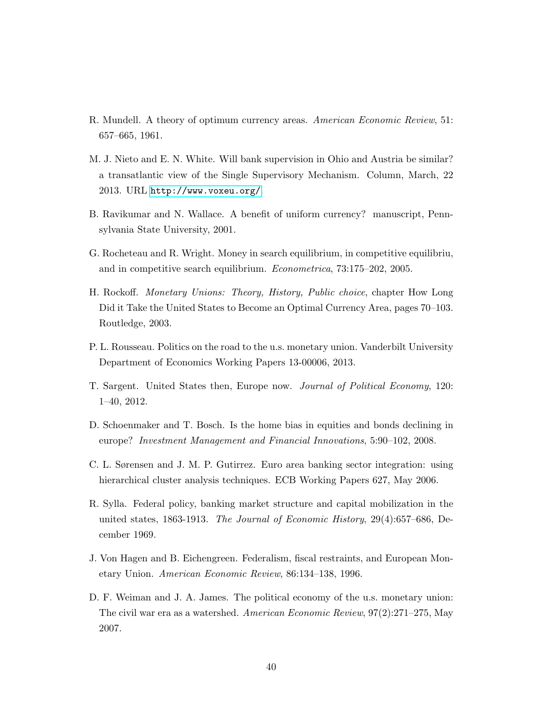- <span id="page-41-8"></span>R. Mundell. A theory of optimum currency areas. American Economic Review, 51: 657–665, 1961.
- <span id="page-41-0"></span>M. J. Nieto and E. N. White. Will bank supervision in Ohio and Austria be similar? a transatlantic view of the Single Supervisory Mechanism. Column, March, 22 2013. URL <http://www.voxeu.org/>.
- <span id="page-41-9"></span>B. Ravikumar and N. Wallace. A benefit of uniform currency? manuscript, Pennsylvania State University, 2001.
- <span id="page-41-7"></span>G. Rocheteau and R. Wright. Money in search equilibrium, in competitive equilibriu, and in competitive search equilibrium. Econometrica, 73:175–202, 2005.
- <span id="page-41-1"></span>H. Rockoff. Monetary Unions: Theory, History, Public choice, chapter How Long Did it Take the United States to Become an Optimal Currency Area, pages 70–103. Routledge, 2003.
- <span id="page-41-2"></span>P. L. Rousseau. Politics on the road to the u.s. monetary union. Vanderbilt University Department of Economics Working Papers 13-00006, 2013.
- <span id="page-41-11"></span>T. Sargent. United States then, Europe now. Journal of Political Economy, 120: 1–40, 2012.
- <span id="page-41-5"></span>D. Schoenmaker and T. Bosch. Is the home bias in equities and bonds declining in europe? Investment Management and Financial Innovations, 5:90–102, 2008.
- <span id="page-41-6"></span>C. L. Sørensen and J. M. P. Gutirrez. Euro area banking sector integration: using hierarchical cluster analysis techniques. ECB Working Papers 627, May 2006.
- <span id="page-41-4"></span>R. Sylla. Federal policy, banking market structure and capital mobilization in the united states, 1863-1913. The Journal of Economic History, 29(4):657–686, December 1969.
- <span id="page-41-10"></span>J. Von Hagen and B. Eichengreen. Federalism, fiscal restraints, and European Monetary Union. American Economic Review, 86:134–138, 1996.
- <span id="page-41-3"></span>D. F. Weiman and J. A. James. The political economy of the u.s. monetary union: The civil war era as a watershed. American Economic Review, 97(2):271–275, May 2007.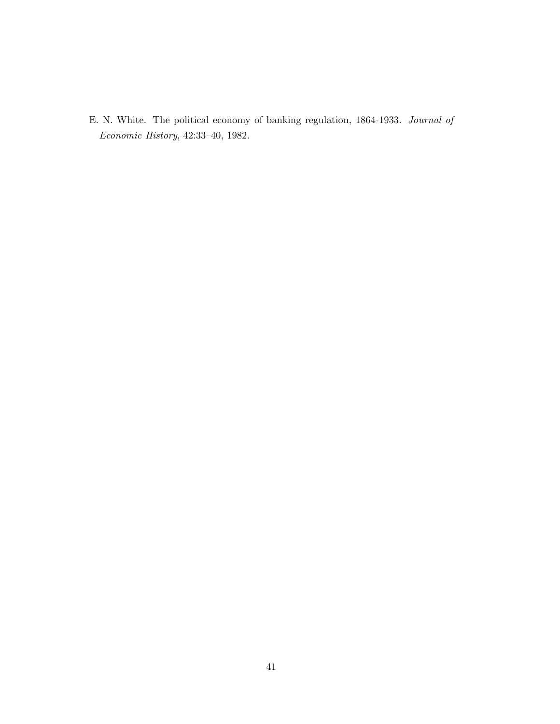<span id="page-42-0"></span>E. N. White. The political economy of banking regulation, 1864-1933. Journal of Economic History, 42:33–40, 1982.